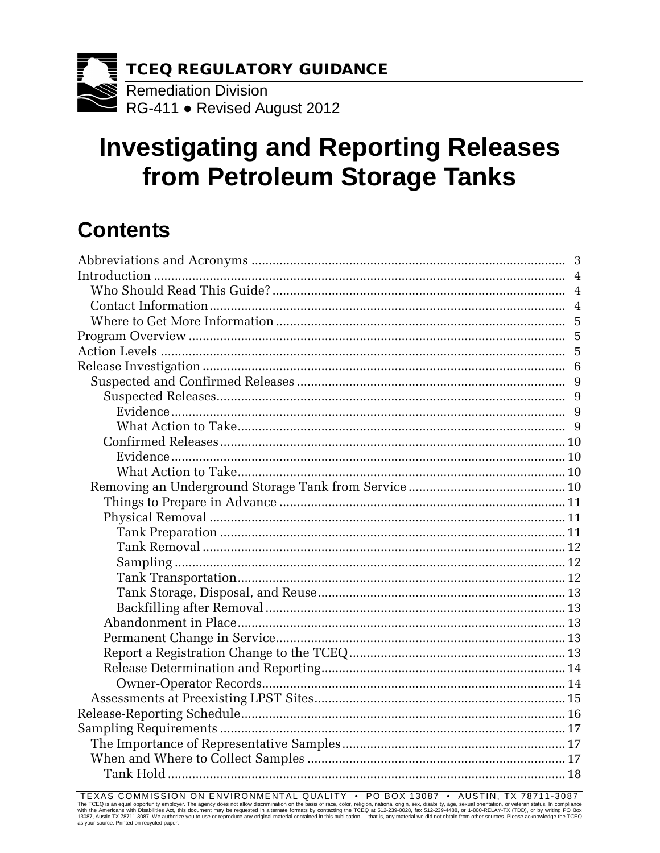

# **Investigating and Reporting Releases from Petroleum Storage Tanks**

## **Contents**

| Introduction |   |
|--------------|---|
|              |   |
|              |   |
|              |   |
|              |   |
|              |   |
|              |   |
|              |   |
|              | 9 |
|              |   |
|              |   |
|              |   |
|              |   |
|              |   |
|              |   |
|              |   |
|              |   |
|              |   |
|              |   |
|              |   |
|              |   |
|              |   |
|              |   |
|              |   |
|              |   |
|              |   |
|              |   |
|              |   |
|              |   |
|              |   |
|              |   |
|              |   |
|              |   |
|              |   |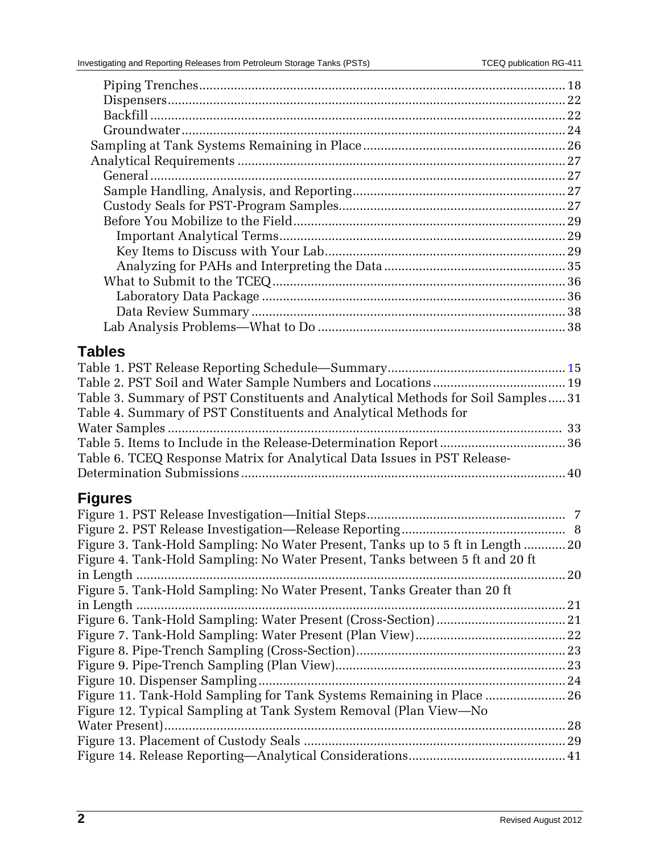| <b>Tables</b>                                                                   |  |
|---------------------------------------------------------------------------------|--|
|                                                                                 |  |
|                                                                                 |  |
|                                                                                 |  |
| Table 3. Summary of PST Constituents and Analytical Methods for Soil Samples 31 |  |
| Table 4. Summary of PST Constituents and Analytical Methods for                 |  |
|                                                                                 |  |
|                                                                                 |  |
| Table 6. TCEQ Response Matrix for Analytical Data Issues in PST Release-        |  |
|                                                                                 |  |
| <b>Figures</b>                                                                  |  |
|                                                                                 |  |
|                                                                                 |  |
| Figure 3. Tank-Hold Sampling: No Water Present, Tanks up to 5 ft in Length  20  |  |
| Figure 4. Tank-Hold Sampling: No Water Present, Tanks between 5 ft and 20 ft    |  |
|                                                                                 |  |
| Figure 5. Tank-Hold Sampling: No Water Present, Tanks Greater than 20 ft        |  |
| in Length                                                                       |  |
|                                                                                 |  |
|                                                                                 |  |
|                                                                                 |  |
|                                                                                 |  |
|                                                                                 |  |
| Figure 11. Tank-Hold Sampling for Tank Systems Remaining in Place  26           |  |
| Figure 12. Typical Sampling at Tank System Removal (Plan View—No                |  |
|                                                                                 |  |
|                                                                                 |  |
|                                                                                 |  |
|                                                                                 |  |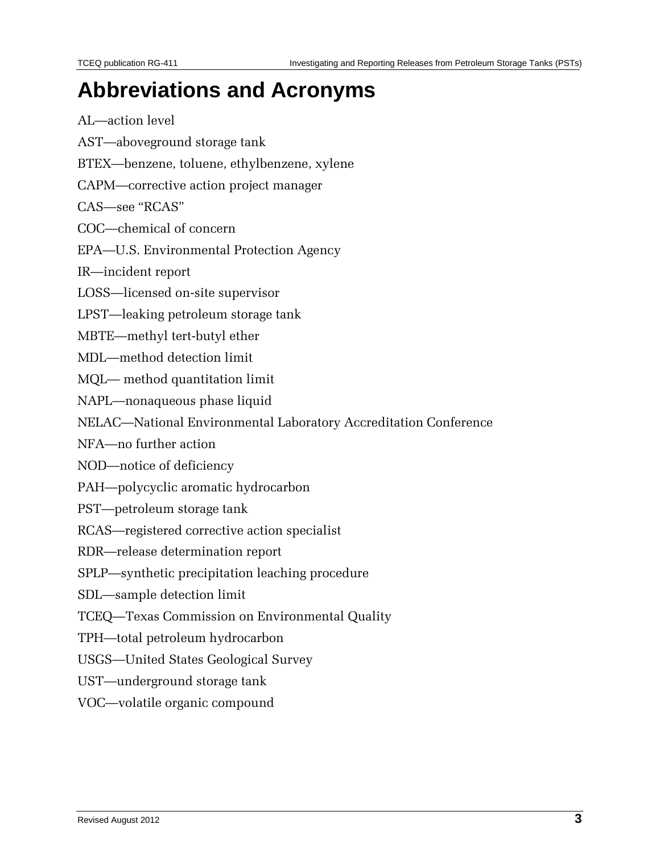## **Abbreviations and Acronyms**

AL—action level

- AST—aboveground storage tank
- BTEX—benzene, toluene, ethylbenzene, xylene
- CAPM—corrective action project manager

CAS—see "RCAS"

COC—chemical of concern

- EPA—U.S. Environmental Protection Agency
- IR—incident report
- LOSS—licensed on-site supervisor
- LPST—leaking petroleum storage tank

MBTE—methyl tert-butyl ether

- MDL—method detection limit
- MQL— method quantitation limit
- NAPL—nonaqueous phase liquid
- NELAC—National Environmental Laboratory Accreditation Conference

NFA—no further action

NOD—notice of deficiency

- PAH—polycyclic aromatic hydrocarbon
- PST—petroleum storage tank
- RCAS—registered corrective action specialist
- RDR—release determination report
- SPLP—synthetic precipitation leaching procedure
- SDL—sample detection limit
- TCEQ—Texas Commission on Environmental Quality
- TPH—total petroleum hydrocarbon
- USGS—United States Geological Survey
- UST—underground storage tank
- VOC—volatile organic compound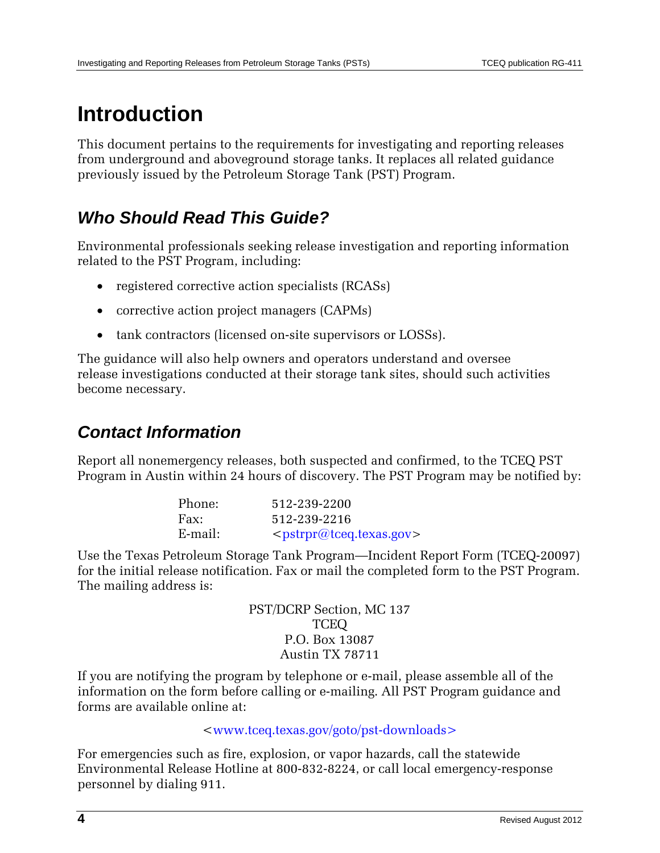## **Introduction**

This document pertains to the requirements for investigating and reporting releases from underground and aboveground storage tanks. It replaces all related guidance previously issued by the Petroleum Storage Tank (PST) Program.

## *Who Should Read This Guide?*

Environmental professionals seeking release investigation and reporting information related to the PST Program, including:

- registered corrective action specialists (RCASs)
- corrective action project managers (CAPMs)
- tank contractors (licensed on-site supervisors or LOSSs).

The guidance will also help owners and operators understand and oversee release investigations conducted at their storage tank sites, should such activities become necessary.

## *Contact Information*

Report all nonemergency releases, both suspected and confirmed, to the TCEQ PST Program in Austin within 24 hours of discovery. The PST Program may be notified by:

| Phone:  | 512-239-2200                                    |
|---------|-------------------------------------------------|
| Fax:    | 512-239-2216                                    |
| E-mail: | <pstrpr@tceq.texas.gov></pstrpr@tceq.texas.gov> |

Use the Texas Petroleum Storage Tank Program—Incident Report Form (TCEQ-20097) for the initial release notification. Fax or mail the completed form to the PST Program. The mailing address is:

> PST/DCRP Section, MC 137 TCEQ P.O. Box 13087 Austin TX 78711

If you are notifying the program by telephone or e-mail, please assemble all of the information on the form before calling or e-mailing. All PST Program guidance and forms are available online at:

### [<www.tceq.texas.gov/goto/pst-downloads>](http://www.tceq.state.tx.us/goto/pst-downloads)

For emergencies such as fire, explosion, or vapor hazards, call the statewide Environmental Release Hotline at 800-832-8224, or call local emergency-response personnel by dialing 911.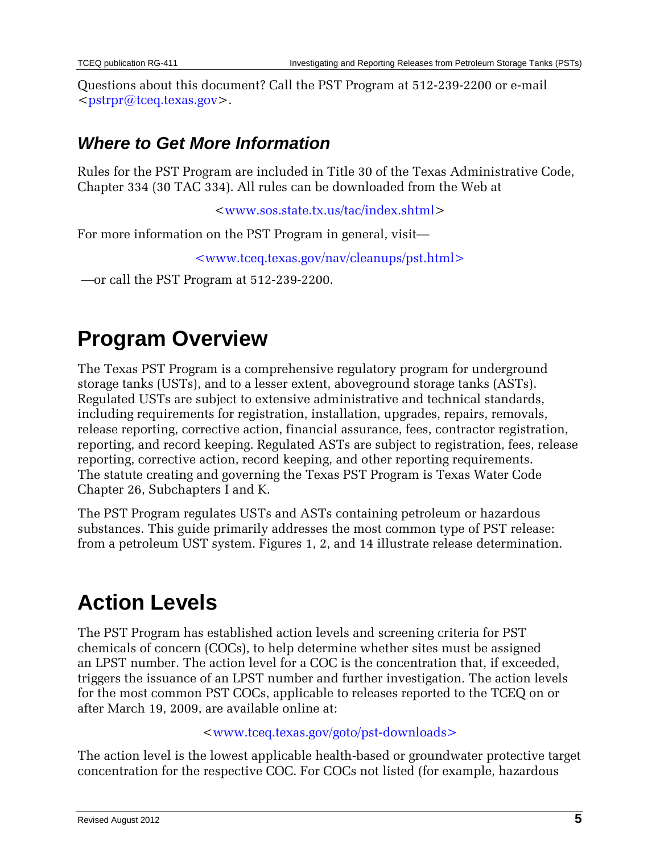Questions about this document? Call the PST Program at 512-239-2200 or e-mail [<pstrpr@tceq.texas.gov>](mailto:pstrpr@tceq.texas.gov).

## *Where to Get More Information*

Rules for the PST Program are included in Title 30 of the Texas Administrative Code, [Chapter 334](http://info.sos.state.tx.us/pls/pub/readtac$ext.ViewTAC?tac_view=4&ti=30&pt=1&ch=334) (30 TAC 334). All rules can be downloaded from the Web at

[<www.sos.state.tx.us/tac/index.shtml>](http://www.sos.state.tx.us/tac/index.shtml)

For more information on the PST Program in general, visit—

[<www.tceq.texas.gov/nav/cleanups/pst.html>](http://www.tceq.texas.gov/nav/cleanups/pst.html%3e)

—or call the PST Program at 512-239-2200.

## **Program Overview**

The Texas PST Program is a comprehensive regulatory program for underground storage tanks (USTs), and to a lesser extent, aboveground storage tanks (ASTs). Regulated USTs are subject to extensive administrative and technical standards, including requirements for registration, installation, upgrades, repairs, removals, release reporting, corrective action, financial assurance, fees, contractor registration, reporting, and record keeping. Regulated ASTs are subject to registration, fees, release reporting, corrective action, record keeping, and other reporting requirements. The statute creating and governing the Texas PST Program is Texas Water Code Chapter 26, Subchapters I and K.

The PST Program regulates USTs and ASTs containing petroleum or hazardous substances. This guide primarily addresses the most common type of PST release: from a petroleum UST system. Figures 1, 2, and 14 illustrate release determination.

## **Action Levels**

The PST Program has established action levels and screening criteria for PST chemicals of concern (COCs), to help determine whether sites must be assigned an LPST number. The action level for a COC is the concentration that, if exceeded, triggers the issuance of an LPST number and further investigation. The action levels for the most common PST COCs, applicable to releases reported to the TCEQ on or after March 19, 2009, are available online at:

### [<www.tceq.texas.gov/goto/pst-downloads>](http://www.tceq.texas.gov/goto/pst-downloads)

The action level is the lowest applicable health-based or groundwater protective target concentration for the respective COC. For COCs not listed (for example, hazardous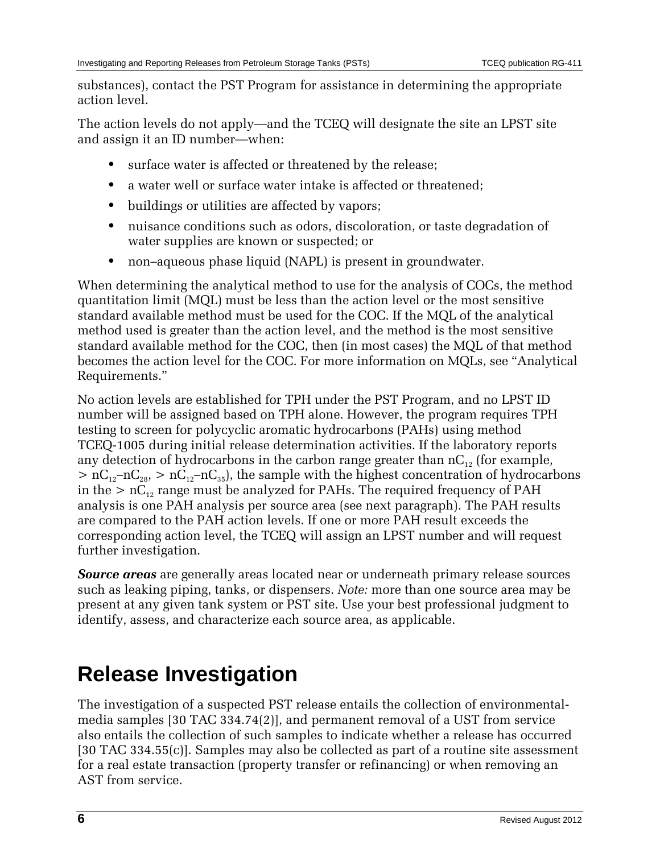substances), contact the PST Program for assistance in determining the appropriate action level.

The action levels do not apply—and the TCEQ will designate the site an LPST site and assign it an ID number—when:

- **•** surface water is affected or threatened by the release;
- **•** a water well or surface water intake is affected or threatened;
- buildings or utilities are affected by vapors;
- **•** nuisance conditions such as odors, discoloration, or taste degradation of water supplies are known or suspected; or
- **•** non–aqueous phase liquid (NAPL) is present in groundwater.

When determining the analytical method to use for the analysis of COCs, the method quantitation limit (MQL) must be less than the action level or the most sensitive standard available method must be used for the COC. If the MQL of the analytical method used is greater than the action level, and the method is the most sensitive standard available method for the COC, then (in most cases) the MQL of that method becomes the action level for the COC. For more information on MQLs, see "Analytical Requirements."

No action levels are established for TPH under the PST Program, and no LPST ID number will be assigned based on TPH alone. However, the program requires TPH testing to screen for polycyclic aromatic hydrocarbons (PAHs) using method TCEQ-1005 during initial release determination activities. If the laboratory reports any detection of hydrocarbons in the carbon range greater than  $nC_{12}$  (for example,  $> nC_{12}-nC_{28}$ ,  $> nC_{12}-nC_{35}$ , the sample with the highest concentration of hydrocarbons in the  $> nC_{12}$  range must be analyzed for PAHs. The required frequency of PAH analysis is one PAH analysis per source area (see next paragraph). The PAH results are compared to the PAH action levels. If one or more PAH result exceeds the corresponding action level, the TCEQ will assign an LPST number and will request further investigation.

*Source areas* are generally areas located near or underneath primary release sources such as leaking piping, tanks, or dispensers. *Note:* more than one source area may be present at any given tank system or PST site. Use your best professional judgment to identify, assess, and characterize each source area, as applicable.

## **Release Investigation**

The investigation of a suspected PST release entails the collection of environmentalmedia samples [30 TAC 334.74(2)], and permanent removal of a UST from service also entails the collection of such samples to indicate whether a release has occurred [30 TAC 334.55(c)]. Samples may also be collected as part of a routine site assessment for a real estate transaction (property transfer or refinancing) or when removing an AST from service.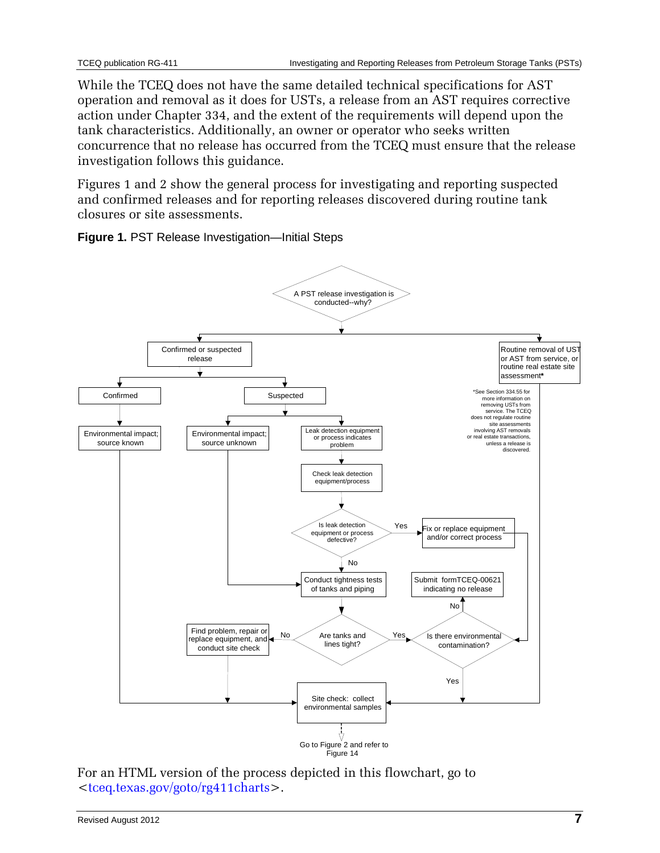While the TCEQ does not have the same detailed technical specifications for AST operation and removal as it does for USTs, a release from an AST requires corrective action under Chapter 334, and the extent of the requirements will depend upon the tank characteristics. Additionally, an owner or operator who seeks written concurrence that no release has occurred from the TCEQ must ensure that the release investigation follows this guidance.

Figures 1 and 2 show the general process for investigating and reporting suspected and confirmed releases and for reporting releases discovered during routine tank closures or site assessments.

<span id="page-6-0"></span>**Figure 1.** PST Release Investigation—Initial Steps



Figure 14

For an HTML version of the process depicted in this flowchart, go to [<tceq.texas.gov/goto/rg411charts>](http://www.tceq.texas.gov/goto/rg411charts).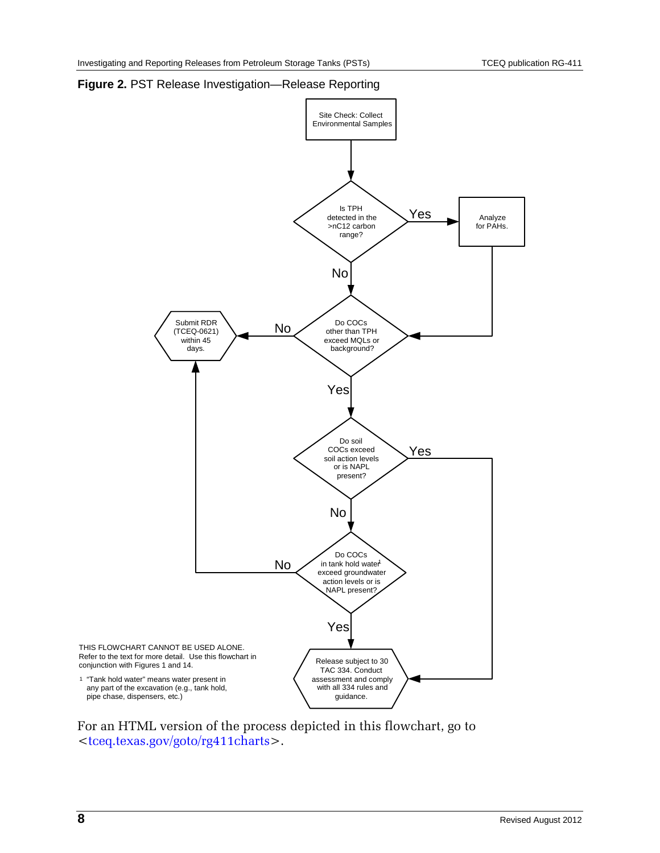

#### <span id="page-7-0"></span>**Figure 2.** PST Release Investigation—Release Reporting

For an HTML version of the process depicted in this flowchart, go to [<tceq.texas.gov/goto/rg411charts>](http://www.tceq.texas.gov/goto/rg411charts).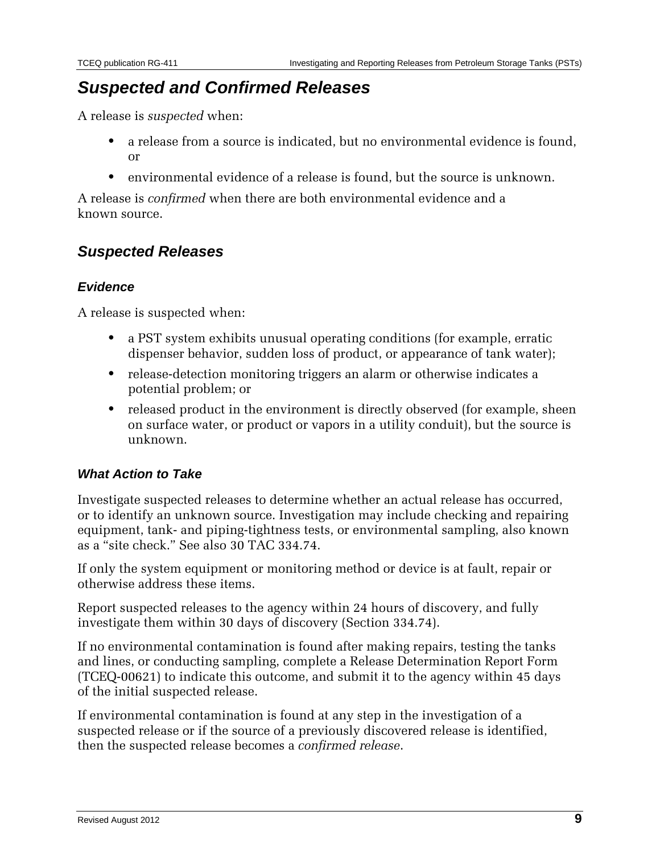### *Suspected and Confirmed Releases*

A release is *suspected* when:

- **•** a release from a source is indicated, but no environmental evidence is found, or
- **•** environmental evidence of a release is found, but the source is unknown.

A release is *confirmed* when there are both environmental evidence and a known source.

### *Suspected Releases*

### *Evidence*

A release is suspected when:

- **•** a PST system exhibits unusual operating conditions (for example, erratic dispenser behavior, sudden loss of product, or appearance of tank water);
- **•** release-detection monitoring triggers an alarm or otherwise indicates a potential problem; or
- released product in the environment is directly observed (for example, sheen on surface water, or product or vapors in a utility conduit), but the source is unknown.

### *What Action to Take*

Investigate suspected releases to determine whether an actual release has occurred, or to identify an unknown source. Investigation may include checking and repairing equipment, tank- and piping-tightness tests, or environmental sampling, also known as a "site check." See also 30 TAC 334.74.

If only the system equipment or monitoring method or device is at fault, repair or otherwise address these items.

Report suspected releases to the agency within 24 hours of discovery, and fully investigate them within 30 days of discovery (Section 334.74).

If no environmental contamination is found after making repairs, testing the tanks and lines, or conducting sampling, complete a Release Determination Report Form (TCEQ-00621) to indicate this outcome, and submit it to the agency within 45 days of the initial suspected release.

If environmental contamination is found at any step in the investigation of a suspected release or if the source of a previously discovered release is identified, then the suspected release becomes a *confirmed release*.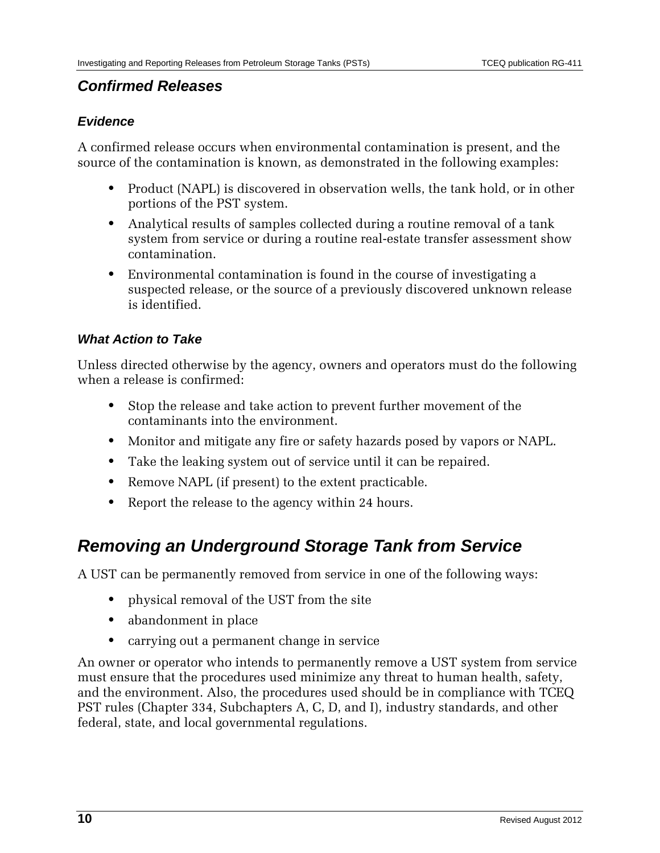### *Confirmed Releases*

### *Evidence*

A confirmed release occurs when environmental contamination is present, and the source of the contamination is known, as demonstrated in the following examples:

- **•** Product (NAPL) is discovered in observation wells, the tank hold, or in other portions of the PST system.
- **•** Analytical results of samples collected during a routine removal of a tank system from service or during a routine real-estate transfer assessment show contamination.
- **•** Environmental contamination is found in the course of investigating a suspected release, or the source of a previously discovered unknown release is identified.

### *What Action to Take*

Unless directed otherwise by the agency, owners and operators must do the following when a release is confirmed:

- **•** Stop the release and take action to prevent further movement of the contaminants into the environment.
- **•** Monitor and mitigate any fire or safety hazards posed by vapors or NAPL.
- **•** Take the leaking system out of service until it can be repaired.
- **•** Remove NAPL (if present) to the extent practicable.
- **•** Report the release to the agency within 24 hours.

## *Removing an Underground Storage Tank from Service*

A UST can be permanently removed from service in one of the following ways:

- **•** physical removal of the UST from the site
- **•** abandonment in place
- **•** carrying out a permanent change in service

An owner or operator who intends to permanently remove a UST system from service must ensure that the procedures used minimize any threat to human health, safety, and the environment. Also, the procedures used should be in compliance with TCEQ PST rules (Chapter 334, Subchapters A, C, D, and I), industry standards, and other federal, state, and local governmental regulations.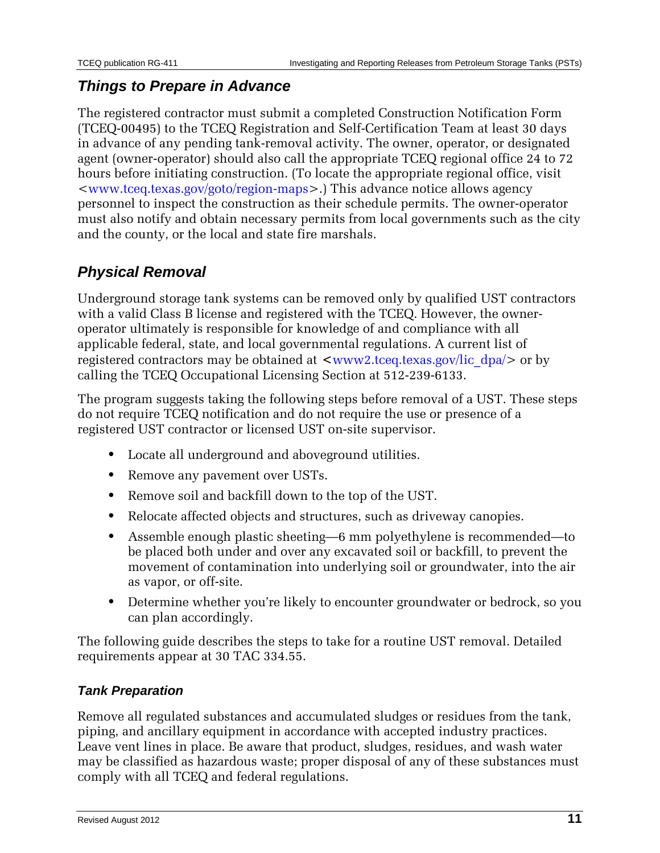### *Things to Prepare in Advance*

The registered contractor must submit a completed Construction Notification Form (TCEQ-00495) to the TCEQ Registration and Self-Certification Team at least 30 days in advance of any pending tank-removal activity. The owner, operator, or designated agent (owner-operator) should also call the appropriate TCEQ regional office 24 to 72 hours before initiating construction. (To locate the appropriate regional office, visit [<www.tceq.texas.gov/goto/region-maps>](http://www.tceq.state.tx.us/goto/region-maps).) This advance notice allows agency personnel to inspect the construction as their schedule permits. The owner-operator must also notify and obtain necessary permits from local governments such as the city and the county, or the local and state fire marshals.

### *Physical Removal*

Underground storage tank systems can be removed only by qualified UST contractors with a valid Class B license and registered with the TCEQ. However, the owneroperator ultimately is responsible for knowledge of and compliance with all applicable federal, state, and local governmental regulations. A current list of registered contractors may be obtained at  $\langle$ www2.tceq.texas.gov/lic\_dpa/> or by calling the TCEQ Occupational Licensing Section at 512-239-6133.

The program suggests taking the following steps before removal of a UST. These steps do not require TCEQ notification and do not require the use or presence of a registered UST contractor or licensed UST on-site supervisor.

- **•** Locate all underground and aboveground utilities.
- **•** Remove any pavement over USTs.
- **•** Remove soil and backfill down to the top of the UST.
- **•** Relocate affected objects and structures, such as driveway canopies.
- **•** Assemble enough plastic sheeting—6 mm polyethylene is recommended—to be placed both under and over any excavated soil or backfill, to prevent the movement of contamination into underlying soil or groundwater, into the air as vapor, or off-site.
- **•** Determine whether you're likely to encounter groundwater or bedrock, so you can plan accordingly.

The following guide describes the steps to take for a routine UST removal. Detailed requirements appear at 30 TAC 334.55.

### *Tank Preparation*

Remove all regulated substances and accumulated sludges or residues from the tank, piping, and ancillary equipment in accordance with accepted industry practices. Leave vent lines in place. Be aware that product, sludges, residues, and wash water may be classified as hazardous waste; proper disposal of any of these substances must comply with all TCEQ and federal regulations.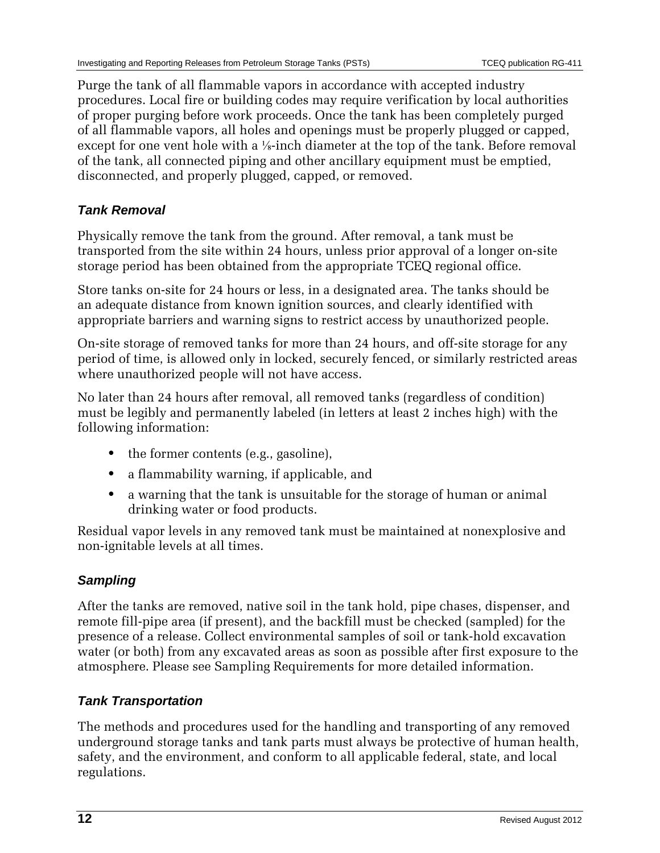Purge the tank of all flammable vapors in accordance with accepted industry procedures. Local fire or building codes may require verification by local authorities of proper purging before work proceeds. Once the tank has been completely purged of all flammable vapors, all holes and openings must be properly plugged or capped, except for one vent hole with a <sup>1</sup>/<sub>8</sub>-inch diameter at the top of the tank. Before removal of the tank, all connected piping and other ancillary equipment must be emptied, disconnected, and properly plugged, capped, or removed.

### *Tank Removal*

Physically remove the tank from the ground. After removal, a tank must be transported from the site within 24 hours, unless prior approval of a longer on-site storage period has been obtained from the appropriate TCEQ regional office.

Store tanks on-site for 24 hours or less, in a designated area. The tanks should be an adequate distance from known ignition sources, and clearly identified with appropriate barriers and warning signs to restrict access by unauthorized people.

On-site storage of removed tanks for more than 24 hours, and off-site storage for any period of time, is allowed only in locked, securely fenced, or similarly restricted areas where unauthorized people will not have access.

No later than 24 hours after removal, all removed tanks (regardless of condition) must be legibly and permanently labeled (in letters at least 2 inches high) with the following information:

- the former contents (e.g., gasoline),
- **•** a flammability warning, if applicable, and
- **•** a warning that the tank is unsuitable for the storage of human or animal drinking water or food products.

Residual vapor levels in any removed tank must be maintained at nonexplosive and non-ignitable levels at all times.

### *Sampling*

After the tanks are removed, native soil in the tank hold, pipe chases, dispenser, and remote fill-pipe area (if present), and the backfill must be checked (sampled) for the presence of a release. Collect environmental samples of soil or tank-hold excavation water (or both) from any excavated areas as soon as possible after first exposure to the atmosphere. Please see Sampling Requirements for more detailed information.

### *Tank Transportation*

The methods and procedures used for the handling and transporting of any removed underground storage tanks and tank parts must always be protective of human health, safety, and the environment, and conform to all applicable federal, state, and local regulations.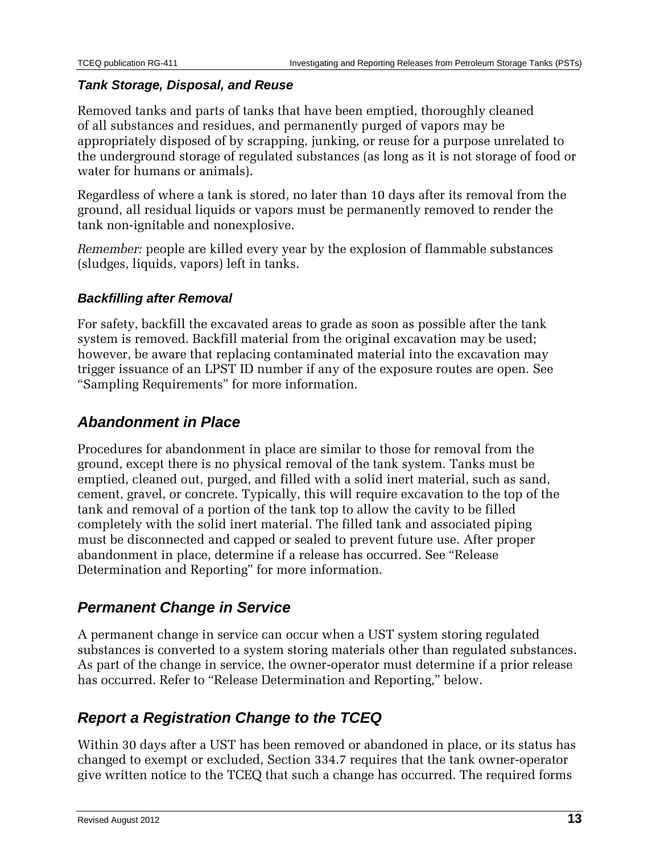### *Tank Storage, Disposal, and Reuse*

Removed tanks and parts of tanks that have been emptied, thoroughly cleaned of all substances and residues, and permanently purged of vapors may be appropriately disposed of by scrapping, junking, or reuse for a purpose unrelated to the underground storage of regulated substances (as long as it is not storage of food or water for humans or animals).

Regardless of where a tank is stored, no later than 10 days after its removal from the ground, all residual liquids or vapors must be permanently removed to render the tank non-ignitable and nonexplosive.

*Remember:* people are killed every year by the explosion of flammable substances (sludges, liquids, vapors) left in tanks.

### *Backfilling after Removal*

For safety, backfill the excavated areas to grade as soon as possible after the tank system is removed. Backfill material from the original excavation may be used; however, be aware that replacing contaminated material into the excavation may trigger issuance of an LPST ID number if any of the exposure routes are open. See "Sampling Requirements" for more information.

### *Abandonment in Place*

Procedures for abandonment in place are similar to those for removal from the ground, except there is no physical removal of the tank system. Tanks must be emptied, cleaned out, purged, and filled with a solid inert material, such as sand, cement, gravel, or concrete. Typically, this will require excavation to the top of the tank and removal of a portion of the tank top to allow the cavity to be filled completely with the solid inert material. The filled tank and associated piping must be disconnected and capped or sealed to prevent future use. After proper abandonment in place, determine if a release has occurred. See "Release Determination and Reporting" for more information.

### *Permanent Change in Service*

A permanent change in service can occur when a UST system storing regulated substances is converted to a system storing materials other than regulated substances. As part of the change in service, the owner-operator must determine if a prior release has occurred. Refer to "Release Determination and Reporting," below.

### *Report a Registration Change to the TCEQ*

Within 30 days after a UST has been removed or abandoned in place, or its status has changed to exempt or excluded, Section 334.7 requires that the tank owner-operator give written notice to the TCEQ that such a change has occurred. The required forms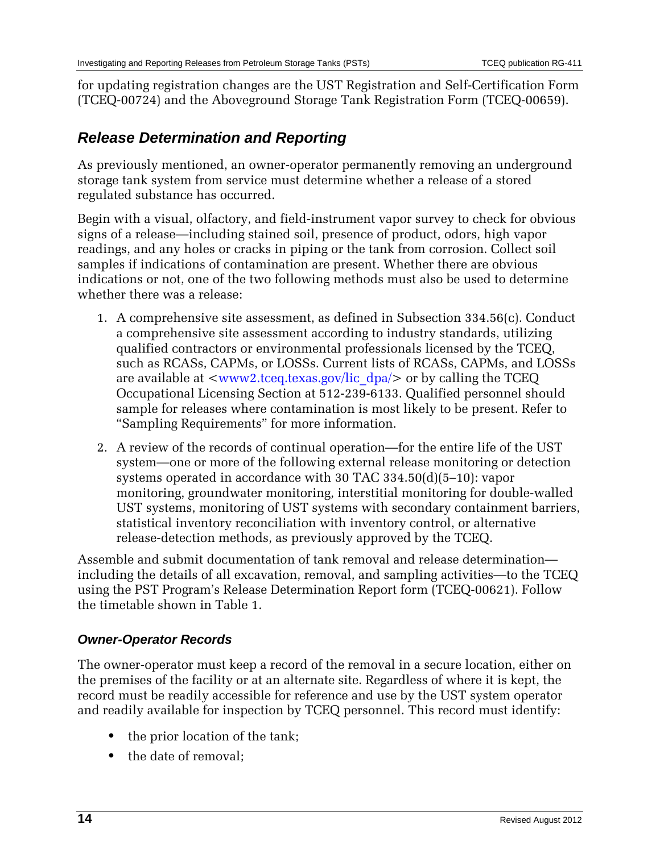for updating registration changes are the UST Registration and Self-Certification Form (TCEQ-00724) and the Aboveground Storage Tank Registration Form (TCEQ-00659).

### *Release Determination and Reporting*

As previously mentioned, an owner-operator permanently removing an underground storage tank system from service must determine whether a release of a stored regulated substance has occurred.

Begin with a visual, olfactory, and field-instrument vapor survey to check for obvious signs of a release—including stained soil, presence of product, odors, high vapor readings, and any holes or cracks in piping or the tank from corrosion. Collect soil samples if indications of contamination are present. Whether there are obvious indications or not, one of the two following methods must also be used to determine whether there was a release:

- 1. A comprehensive site assessment, as defined in Subsection 334.56(c). Conduct a comprehensive site assessment according to industry standards, utilizing qualified contractors or environmental professionals licensed by the TCEQ, such as RCASs, CAPMs, or LOSSs. Current lists of RCASs, CAPMs, and LOSSs are available at  $\langle$ www2.tceq.texas.gov/lic\_dpa/ $>$  or by calling the TCEQ Occupational Licensing Section at 512-239-6133. Qualified personnel should sample for releases where contamination is most likely to be present. Refer to "Sampling Requirements" for more information.
- 2. A review of the records of continual operation—for the entire life of the UST system—one or more of the following external release monitoring or detection systems operated in accordance with 30 TAC 334.50(d)(5–10): vapor monitoring, groundwater monitoring, interstitial monitoring for double-walled UST systems, monitoring of UST systems with secondary containment barriers, statistical inventory reconciliation with inventory control, or alternative release-detection methods, as previously approved by the TCEQ.

Assemble and submit documentation of tank removal and release determination including the details of all excavation, removal, and sampling activities—to the TCEQ using the PST Program's Release Determination Report form (TCEQ-00621). Follow the timetable shown in Table 1.

### *Owner-Operator Records*

The owner-operator must keep a record of the removal in a secure location, either on the premises of the facility or at an alternate site. Regardless of where it is kept, the record must be readily accessible for reference and use by the UST system operator and readily available for inspection by TCEQ personnel. This record must identify:

- the prior location of the tank;
- the date of removal: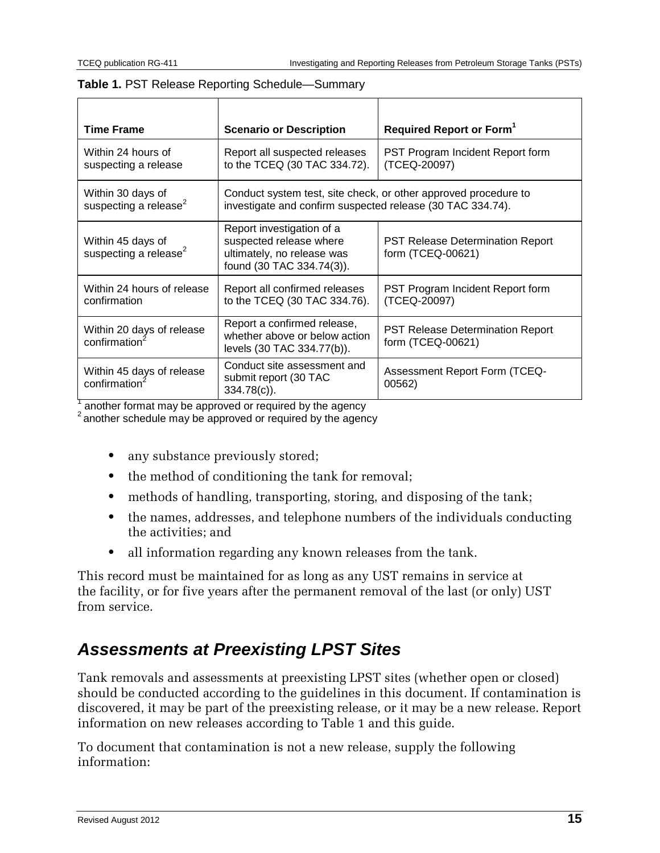| <b>Time Frame</b>                                      | <b>Scenario or Description</b>                                                                                    | Required Report or Form <sup>1</sup>                            |
|--------------------------------------------------------|-------------------------------------------------------------------------------------------------------------------|-----------------------------------------------------------------|
| Within 24 hours of<br>suspecting a release             | PST Program Incident Report form<br>Report all suspected releases<br>to the TCEQ (30 TAC 334.72).<br>(TCEQ-20097) |                                                                 |
| Within 30 days of<br>suspecting a release <sup>2</sup> | investigate and confirm suspected release (30 TAC 334.74).                                                        | Conduct system test, site check, or other approved procedure to |
| Within 45 days of<br>suspecting a release <sup>2</sup> | Report investigation of a<br>suspected release where<br>ultimately, no release was<br>found (30 TAC 334.74(3)).   | PST Release Determination Report<br>form (TCEQ-00621)           |
| Within 24 hours of release<br>confirmation             | Report all confirmed releases<br>to the TCEQ (30 TAC 334.76).                                                     | PST Program Incident Report form<br>(TCEQ-20097)                |
| Within 20 days of release<br>confirmation              | Report a confirmed release,<br>whether above or below action<br>levels (30 TAC 334.77(b)).                        | <b>PST Release Determination Report</b><br>form (TCEQ-00621)    |
| Within 45 days of release<br>confirmation              | Conduct site assessment and<br>submit report (30 TAC<br>$334.78(c)$ ).                                            | <b>Assessment Report Form (TCEQ-</b><br>00562)                  |

#### **Table 1.** PST Release Reporting Schedule—Summary

<sup>1</sup> another format may be approved or required by the agency <sup>2</sup> another schedule may be approved or required by the agency

- any substance previously stored;
- the method of conditioning the tank for removal;
- **•** methods of handling, transporting, storing, and disposing of the tank;
- **•** the names, addresses, and telephone numbers of the individuals conducting the activities; and
- **•** all information regarding any known releases from the tank.

This record must be maintained for as long as any UST remains in service at the facility, or for five years after the permanent removal of the last (or only) UST from service.

## *Assessments at Preexisting LPST Sites*

Tank removals and assessments at preexisting LPST sites (whether open or closed) should be conducted according to the guidelines in this document. If contamination is discovered, it may be part of the preexisting release, or it may be a new release. Report information on new releases according to Table 1 and this guide.

To document that contamination is not a new release, supply the following information: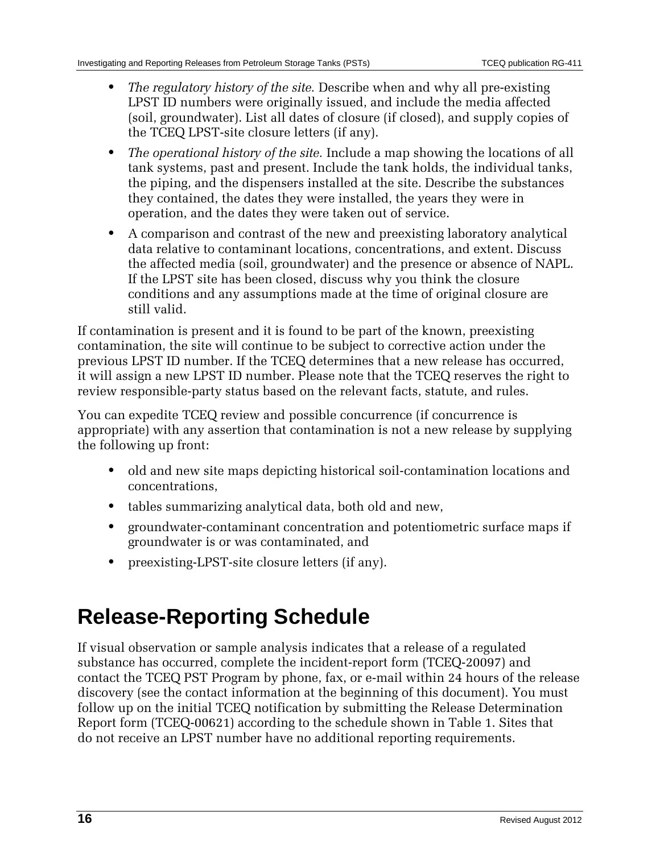- **•** *The regulatory history of the site.* Describe when and why all pre-existing LPST ID numbers were originally issued, and include the media affected (soil, groundwater). List all dates of closure (if closed), and supply copies of the TCEQ LPST-site closure letters (if any).
- **•** *The operational history of the site.* Include a map showing the locations of all tank systems, past and present. Include the tank holds, the individual tanks, the piping, and the dispensers installed at the site. Describe the substances they contained, the dates they were installed, the years they were in operation, and the dates they were taken out of service.
- **•** A comparison and contrast of the new and preexisting laboratory analytical data relative to contaminant locations, concentrations, and extent. Discuss the affected media (soil, groundwater) and the presence or absence of NAPL. If the LPST site has been closed, discuss why you think the closure conditions and any assumptions made at the time of original closure are still valid.

If contamination is present and it is found to be part of the known, preexisting contamination, the site will continue to be subject to corrective action under the previous LPST ID number. If the TCEQ determines that a new release has occurred, it will assign a new LPST ID number. Please note that the TCEQ reserves the right to review responsible-party status based on the relevant facts, statute, and rules.

You can expedite TCEQ review and possible concurrence (if concurrence is appropriate) with any assertion that contamination is not a new release by supplying the following up front:

- **•** old and new site maps depicting historical soil-contamination locations and concentrations,
- **•** tables summarizing analytical data, both old and new,
- **•** groundwater-contaminant concentration and potentiometric surface maps if groundwater is or was contaminated, and
- **•** preexisting-LPST-site closure letters (if any).

## **Release-Reporting Schedule**

If visual observation or sample analysis indicates that a release of a regulated substance has occurred, complete the incident-report form (TCEQ-20097) and contact the TCEQ PST Program by phone, fax, or e-mail within 24 hours of the release discovery (see the contact information at the beginning of this document). You must follow up on the initial TCEQ notification by submitting the Release Determination Report form (TCEQ-00621) according to the schedule shown in Table 1. Sites that do not receive an LPST number have no additional reporting requirements.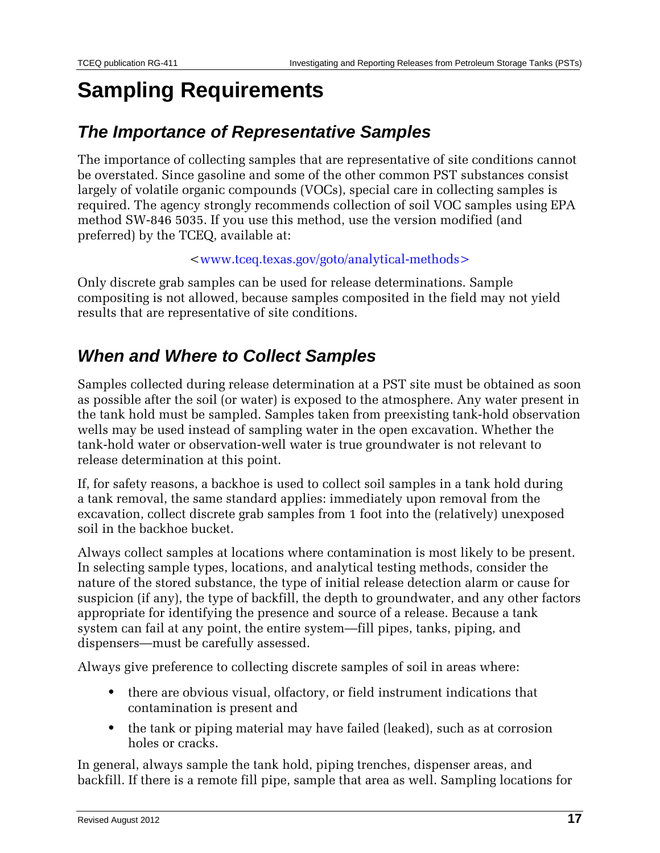## **Sampling Requirements**

### *The Importance of Representative Samples*

The importance of collecting samples that are representative of site conditions cannot be overstated. Since gasoline and some of the other common PST substances consist largely of volatile organic compounds (VOCs), special care in collecting samples is required. The agency strongly recommends collection of soil VOC samples using EPA method SW-846 5035. If you use this method, use the version modified (and preferred) by the TCEQ, available at:

[<www.tceq.texas.gov/goto/analytical-methods>](http://www.tceq.state.tx.us/goto/analytical-methods)

Only discrete grab samples can be used for release determinations. Sample compositing is not allowed, because samples composited in the field may not yield results that are representative of site conditions.

### *When and Where to Collect Samples*

Samples collected during release determination at a PST site must be obtained as soon as possible after the soil (or water) is exposed to the atmosphere. Any water present in the tank hold must be sampled. Samples taken from preexisting tank-hold observation wells may be used instead of sampling water in the open excavation. Whether the tank-hold water or observation-well water is true groundwater is not relevant to release determination at this point.

If, for safety reasons, a backhoe is used to collect soil samples in a tank hold during a tank removal, the same standard applies: immediately upon removal from the excavation, collect discrete grab samples from 1 foot into the (relatively) unexposed soil in the backhoe bucket.

Always collect samples at locations where contamination is most likely to be present. In selecting sample types, locations, and analytical testing methods, consider the nature of the stored substance, the type of initial release detection alarm or cause for suspicion (if any), the type of backfill, the depth to groundwater, and any other factors appropriate for identifying the presence and source of a release. Because a tank system can fail at any point, the entire system—fill pipes, tanks, piping, and dispensers—must be carefully assessed.

Always give preference to collecting discrete samples of soil in areas where:

- **•** there are obvious visual, olfactory, or field instrument indications that contamination is present and
- **•** the tank or piping material may have failed (leaked), such as at corrosion holes or cracks.

In general, always sample the tank hold, piping trenches, dispenser areas, and backfill. If there is a remote fill pipe, sample that area as well. Sampling locations for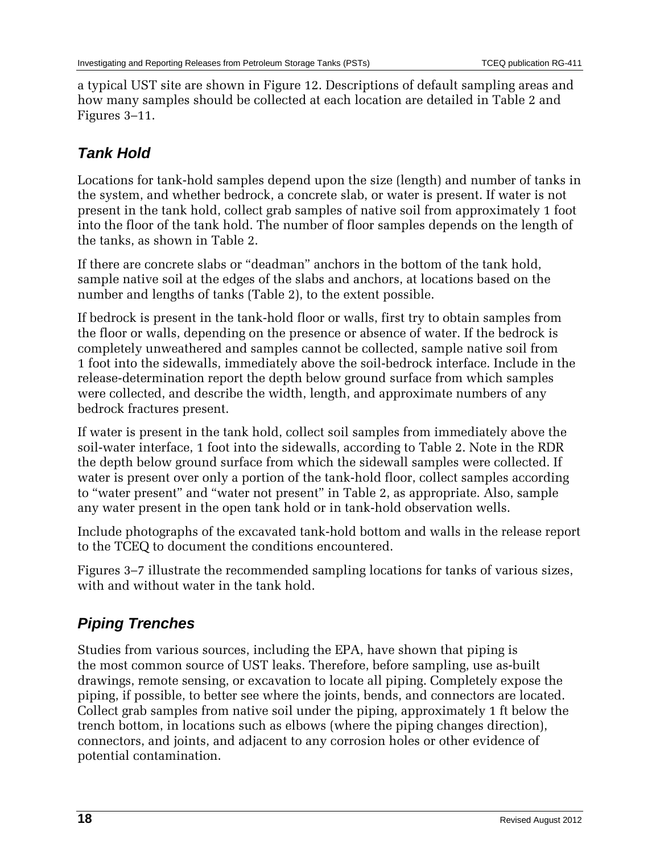a typical UST site are shown in Figure 12. Descriptions of default sampling areas and how many samples should be collected at each location are detailed in Table 2 and Figures 3–11.

## *Tank Hold*

Locations for tank-hold samples depend upon the size (length) and number of tanks in the system, and whether bedrock, a concrete slab, or water is present. If water is not present in the tank hold, collect grab samples of native soil from approximately 1 foot into the floor of the tank hold. The number of floor samples depends on the length of the tanks, as shown in Table 2.

If there are concrete slabs or "deadman" anchors in the bottom of the tank hold, sample native soil at the edges of the slabs and anchors, at locations based on the number and lengths of tanks (Table 2), to the extent possible.

If bedrock is present in the tank-hold floor or walls, first try to obtain samples from the floor or walls, depending on the presence or absence of water. If the bedrock is completely unweathered and samples cannot be collected, sample native soil from 1 foot into the sidewalls, immediately above the soil-bedrock interface. Include in the release-determination report the depth below ground surface from which samples were collected, and describe the width, length, and approximate numbers of any bedrock fractures present.

If water is present in the tank hold, collect soil samples from immediately above the soil-water interface, 1 foot into the sidewalls, according to Table 2. Note in the RDR the depth below ground surface from which the sidewall samples were collected. If water is present over only a portion of the tank-hold floor, collect samples according to "water present" and "water not present" in Table 2, as appropriate. Also, sample any water present in the open tank hold or in tank-hold observation wells.

Include photographs of the excavated tank-hold bottom and walls in the release report to the TCEQ to document the conditions encountered.

Figures 3–7 illustrate the recommended sampling locations for tanks of various sizes, with and without water in the tank hold.

## *Piping Trenches*

Studies from various sources, including the EPA, have shown that piping is the most common source of UST leaks. Therefore, before sampling, use as-built drawings, remote sensing, or excavation to locate all piping. Completely expose the piping, if possible, to better see where the joints, bends, and connectors are located. Collect grab samples from native soil under the piping, approximately 1 ft below the trench bottom, in locations such as elbows (where the piping changes direction), connectors, and joints, and adjacent to any corrosion holes or other evidence of potential contamination.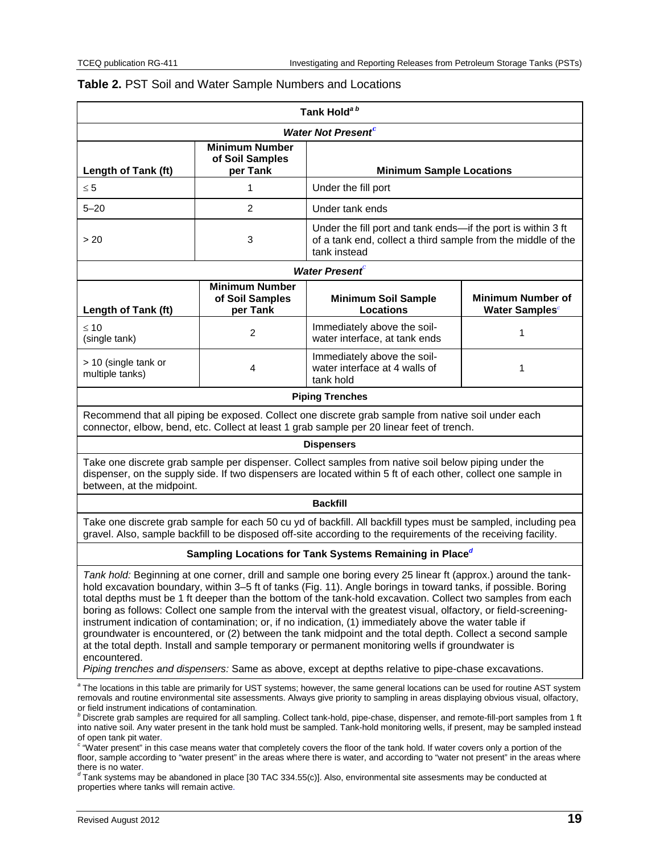|                                                                              |                                                      | Tank Hold <sup>ab</sup>                                                                                                                                                                                                                                                                                                                                                                                                                                                                                                                                                                                                                                                                                                                                                                                                                                                                              |                                                        |
|------------------------------------------------------------------------------|------------------------------------------------------|------------------------------------------------------------------------------------------------------------------------------------------------------------------------------------------------------------------------------------------------------------------------------------------------------------------------------------------------------------------------------------------------------------------------------------------------------------------------------------------------------------------------------------------------------------------------------------------------------------------------------------------------------------------------------------------------------------------------------------------------------------------------------------------------------------------------------------------------------------------------------------------------------|--------------------------------------------------------|
|                                                                              |                                                      | <b>Water Not Present</b> <sup>c</sup>                                                                                                                                                                                                                                                                                                                                                                                                                                                                                                                                                                                                                                                                                                                                                                                                                                                                |                                                        |
| Length of Tank (ft)                                                          | <b>Minimum Number</b><br>of Soil Samples<br>per Tank | <b>Minimum Sample Locations</b>                                                                                                                                                                                                                                                                                                                                                                                                                                                                                                                                                                                                                                                                                                                                                                                                                                                                      |                                                        |
| $\leq 5$                                                                     | 1                                                    | Under the fill port                                                                                                                                                                                                                                                                                                                                                                                                                                                                                                                                                                                                                                                                                                                                                                                                                                                                                  |                                                        |
| $5 - 20$                                                                     | $\overline{2}$                                       | Under tank ends                                                                                                                                                                                                                                                                                                                                                                                                                                                                                                                                                                                                                                                                                                                                                                                                                                                                                      |                                                        |
| > 20                                                                         | 3                                                    | Under the fill port and tank ends-if the port is within 3 ft<br>of a tank end, collect a third sample from the middle of the<br>tank instead                                                                                                                                                                                                                                                                                                                                                                                                                                                                                                                                                                                                                                                                                                                                                         |                                                        |
|                                                                              |                                                      | <b>Water Present</b>                                                                                                                                                                                                                                                                                                                                                                                                                                                                                                                                                                                                                                                                                                                                                                                                                                                                                 |                                                        |
| Length of Tank (ft)                                                          | <b>Minimum Number</b><br>of Soil Samples<br>per Tank | <b>Minimum Soil Sample</b><br><b>Locations</b>                                                                                                                                                                                                                                                                                                                                                                                                                                                                                                                                                                                                                                                                                                                                                                                                                                                       | <b>Minimum Number of</b><br>Water Samples <sup>c</sup> |
| $\leq 10$<br>(single tank)                                                   | $\overline{c}$                                       | Immediately above the soil-<br>water interface, at tank ends                                                                                                                                                                                                                                                                                                                                                                                                                                                                                                                                                                                                                                                                                                                                                                                                                                         | 1                                                      |
| > 10 (single tank or<br>multiple tanks)                                      | $\overline{4}$                                       | Immediately above the soil-<br>water interface at 4 walls of<br>tank hold                                                                                                                                                                                                                                                                                                                                                                                                                                                                                                                                                                                                                                                                                                                                                                                                                            | 1                                                      |
|                                                                              |                                                      | <b>Piping Trenches</b>                                                                                                                                                                                                                                                                                                                                                                                                                                                                                                                                                                                                                                                                                                                                                                                                                                                                               |                                                        |
|                                                                              |                                                      | Recommend that all piping be exposed. Collect one discrete grab sample from native soil under each<br>connector, elbow, bend, etc. Collect at least 1 grab sample per 20 linear feet of trench.                                                                                                                                                                                                                                                                                                                                                                                                                                                                                                                                                                                                                                                                                                      |                                                        |
|                                                                              |                                                      | <b>Dispensers</b>                                                                                                                                                                                                                                                                                                                                                                                                                                                                                                                                                                                                                                                                                                                                                                                                                                                                                    |                                                        |
| between, at the midpoint.                                                    |                                                      | Take one discrete grab sample per dispenser. Collect samples from native soil below piping under the<br>dispenser, on the supply side. If two dispensers are located within 5 ft of each other, collect one sample in                                                                                                                                                                                                                                                                                                                                                                                                                                                                                                                                                                                                                                                                                |                                                        |
|                                                                              |                                                      | <b>Backfill</b>                                                                                                                                                                                                                                                                                                                                                                                                                                                                                                                                                                                                                                                                                                                                                                                                                                                                                      |                                                        |
|                                                                              |                                                      | Take one discrete grab sample for each 50 cu yd of backfill. All backfill types must be sampled, including pea<br>gravel. Also, sample backfill to be disposed off-site according to the requirements of the receiving facility.                                                                                                                                                                                                                                                                                                                                                                                                                                                                                                                                                                                                                                                                     |                                                        |
|                                                                              |                                                      | Sampling Locations for Tank Systems Remaining in Place <sup>d</sup>                                                                                                                                                                                                                                                                                                                                                                                                                                                                                                                                                                                                                                                                                                                                                                                                                                  |                                                        |
| encountered.                                                                 |                                                      | Tank hold: Beginning at one corner, drill and sample one boring every 25 linear ft (approx.) around the tank-<br>hold excavation boundary, within 3-5 ft of tanks (Fig. 11). Angle borings in toward tanks, if possible. Boring<br>total depths must be 1 ft deeper than the bottom of the tank-hold excavation. Collect two samples from each<br>boring as follows: Collect one sample from the interval with the greatest visual, olfactory, or field-screening-<br>instrument indication of contamination; or, if no indication, (1) immediately above the water table if<br>groundwater is encountered, or (2) between the tank midpoint and the total depth. Collect a second sample<br>at the total depth. Install and sample temporary or permanent monitoring wells if groundwater is<br>Piping trenches and dispensers: Same as above, except at depths relative to pipe-chase excavations. |                                                        |
|                                                                              |                                                      | <sup>a</sup> The locations in this table are primarily for UST systems; however, the same general locations can be used for routine AST system                                                                                                                                                                                                                                                                                                                                                                                                                                                                                                                                                                                                                                                                                                                                                       |                                                        |
| or field instrument indications of contamination.<br>of open tank pit water. |                                                      | removals and routine environmental site assessments. Always give priority to sampling in areas displaying obvious visual, olfactory,<br>$b$ Discrete grab samples are required for all sampling. Collect tank-hold, pipe-chase, dispenser, and remote-fill-port samples from 1 ft<br>into native soil. Any water present in the tank hold must be sampled. Tank-hold monitoring wells, if present, may be sampled instead<br>"Water present" in this case means water that completely covers the floor of the tank hold. If water covers only a portion of the<br>floor, sample according to "water present" in the areas where there is water, and according to "water not present" in the areas where                                                                                                                                                                                              |                                                        |

#### <span id="page-18-0"></span>**Table 2.** PST Soil and Water Sample Numbers and Locations

<span id="page-18-2"></span><span id="page-18-1"></span>there is no water.<br><sup>*d*</sup> Tank systems may be abandoned in place [30 TAC 334.55(c)]. Also, environmental site assesments may be conducted at properties where tanks will remain active.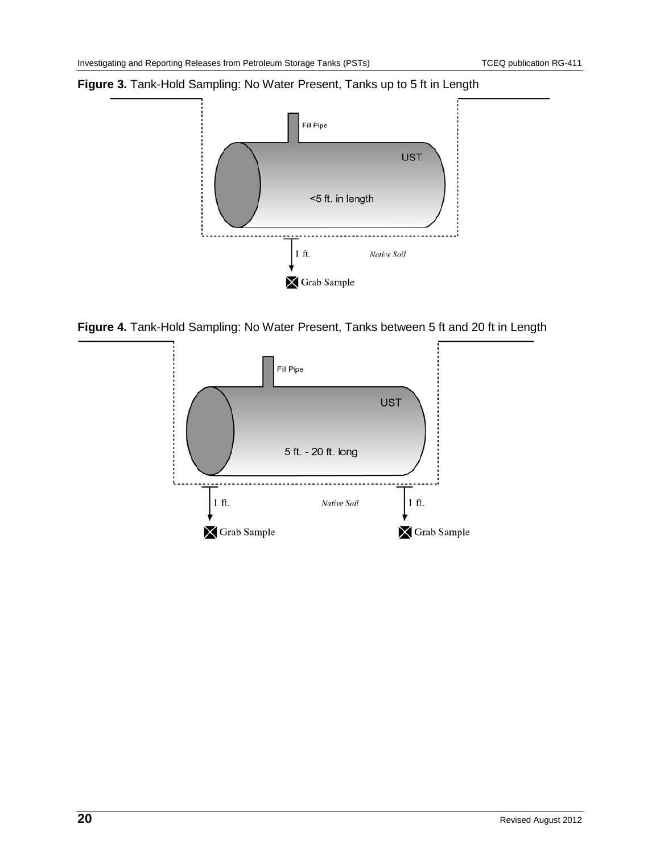#### <span id="page-19-0"></span>**Figure 3.** Tank-Hold Sampling: No Water Present, Tanks up to 5 ft in Length



<span id="page-19-1"></span>**Figure 4.** Tank-Hold Sampling: No Water Present, Tanks between 5 ft and 20 ft in Length

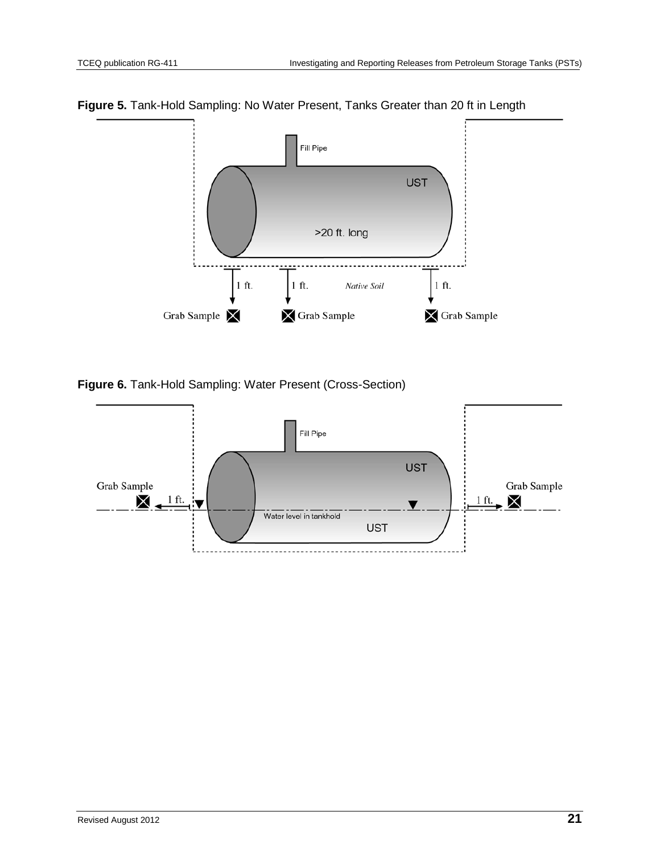

<span id="page-20-0"></span>**Figure 5.** Tank-Hold Sampling: No Water Present, Tanks Greater than 20 ft in Length

<span id="page-20-1"></span>**Figure 6.** Tank-Hold Sampling: Water Present (Cross-Section)

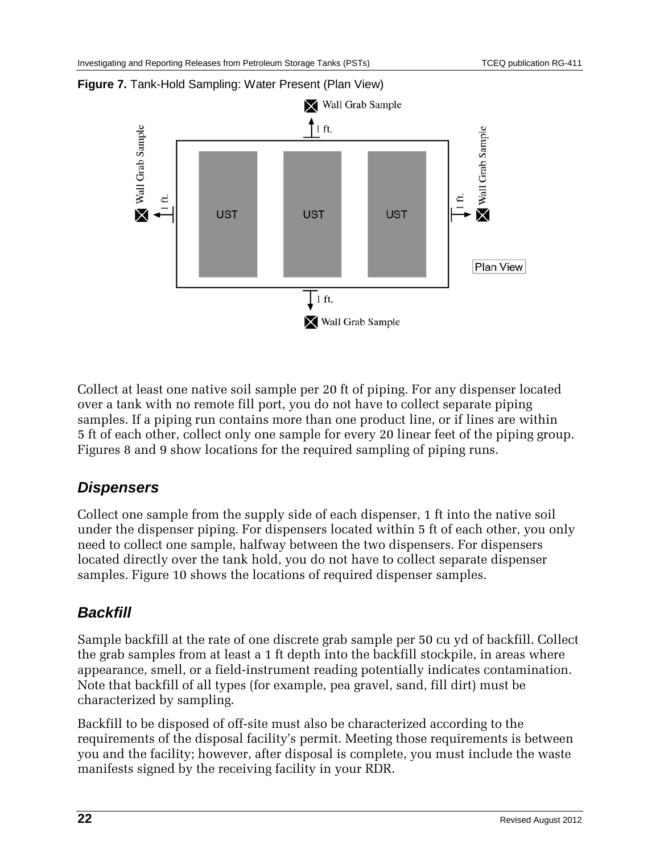

#### <span id="page-21-0"></span>**Figure 7.** Tank-Hold Sampling: Water Present (Plan View)

Collect at least one native soil sample per 20 ft of piping. For any dispenser located over a tank with no remote fill port, you do not have to collect separate piping samples. If a piping run contains more than one product line, or if lines are within 5 ft of each other, collect only one sample for every 20 linear feet of the piping group. Figures 8 and 9 show locations for the required sampling of piping runs.

### *Dispensers*

Collect one sample from the supply side of each dispenser, 1 ft into the native soil under the dispenser piping. For dispensers located within 5 ft of each other, you only need to collect one sample, halfway between the two dispensers. For dispensers located directly over the tank hold, you do not have to collect separate dispenser samples. Figure 10 shows the locations of required dispenser samples.

### *Backfill*

Sample backfill at the rate of one discrete grab sample per 50 cu yd of backfill. Collect the grab samples from at least a 1 ft depth into the backfill stockpile, in areas where appearance, smell, or a field-instrument reading potentially indicates contamination. Note that backfill of all types (for example, pea gravel, sand, fill dirt) must be characterized by sampling.

Backfill to be disposed of off-site must also be characterized according to the requirements of the disposal facility's permit. Meeting those requirements is between you and the facility; however, after disposal is complete, you must include the waste manifests signed by the receiving facility in your RDR.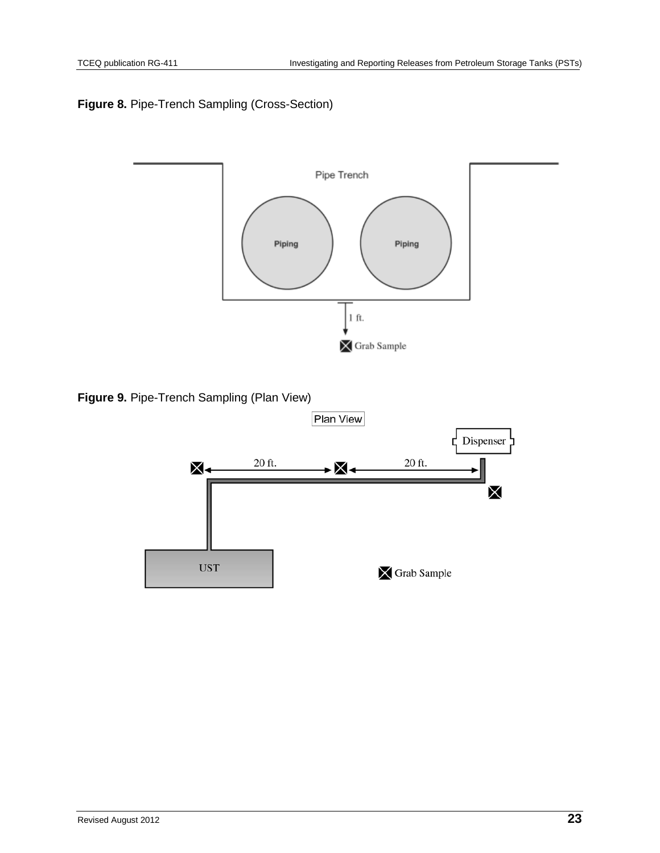### <span id="page-22-0"></span>**Figure 8.** Pipe-Trench Sampling (Cross-Section)



<span id="page-22-1"></span>**Figure 9.** Pipe-Trench Sampling (Plan View)

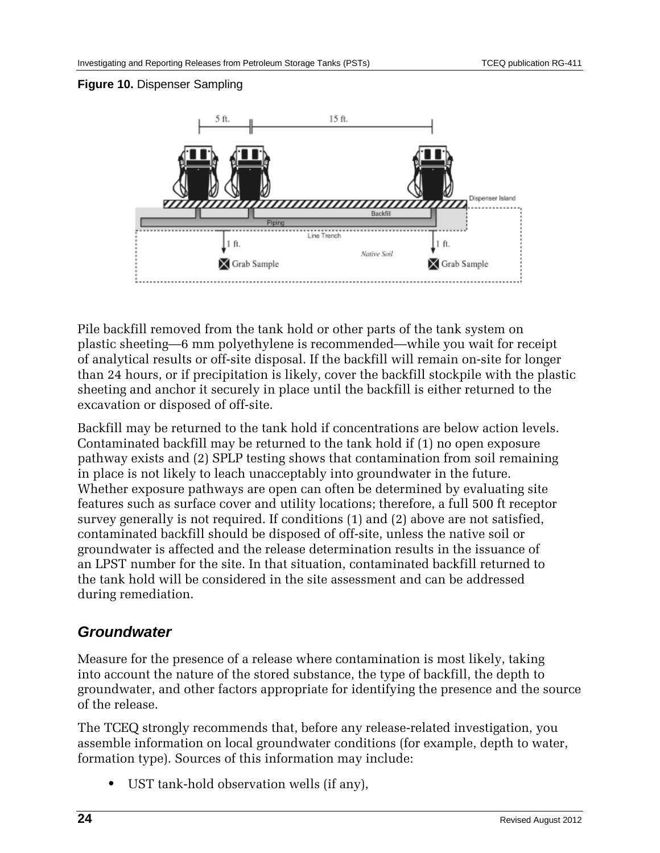### <span id="page-23-0"></span>**Figure 10.** Dispenser Sampling



Pile backfill removed from the tank hold or other parts of the tank system on plastic sheeting—6 mm polyethylene is recommended—while you wait for receipt of analytical results or off-site disposal. If the backfill will remain on-site for longer than 24 hours, or if precipitation is likely, cover the backfill stockpile with the plastic sheeting and anchor it securely in place until the backfill is either returned to the excavation or disposed of off-site.

Backfill may be returned to the tank hold if concentrations are below action levels. Contaminated backfill may be returned to the tank hold if (1) no open exposure pathway exists and (2) SPLP testing shows that contamination from soil remaining in place is not likely to leach unacceptably into groundwater in the future. Whether exposure pathways are open can often be determined by evaluating site features such as surface cover and utility locations; therefore, a full 500 ft receptor survey generally is not required. If conditions (1) and (2) above are not satisfied, contaminated backfill should be disposed of off-site, unless the native soil or groundwater is affected and the release determination results in the issuance of an LPST number for the site. In that situation, contaminated backfill returned to the tank hold will be considered in the site assessment and can be addressed during remediation.

### *Groundwater*

Measure for the presence of a release where contamination is most likely, taking into account the nature of the stored substance, the type of backfill, the depth to groundwater, and other factors appropriate for identifying the presence and the source of the release.

The TCEQ strongly recommends that, before any release-related investigation, you assemble information on local groundwater conditions (for example, depth to water, formation type). Sources of this information may include:

**•** UST tank-hold observation wells (if any),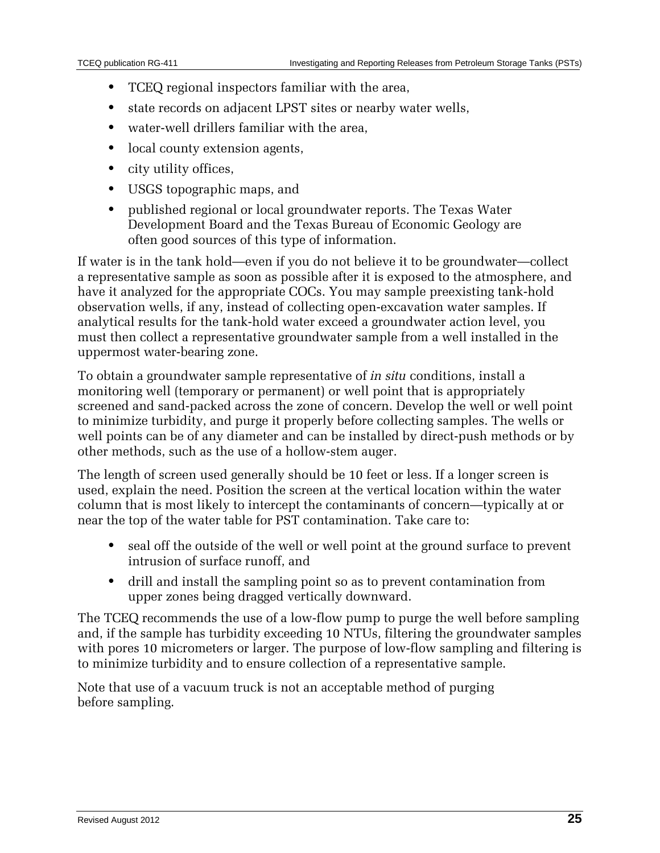- **•** TCEQ regional inspectors familiar with the area,
- **•** state records on adjacent LPST sites or nearby water wells,
- **•** water-well drillers familiar with the area,
- local county extension agents,
- **•** city utility offices,
- **•** USGS topographic maps, and
- **•** published regional or local groundwater reports. The Texas Water Development Board and the Texas Bureau of Economic Geology are often good sources of this type of information.

If water is in the tank hold—even if you do not believe it to be groundwater—collect a representative sample as soon as possible after it is exposed to the atmosphere, and have it analyzed for the appropriate COCs. You may sample preexisting tank-hold observation wells, if any, instead of collecting open-excavation water samples. If analytical results for the tank-hold water exceed a groundwater action level, you must then collect a representative groundwater sample from a well installed in the uppermost water-bearing zone.

To obtain a groundwater sample representative of *in situ* conditions, install a monitoring well (temporary or permanent) or well point that is appropriately screened and sand-packed across the zone of concern. Develop the well or well point to minimize turbidity, and purge it properly before collecting samples. The wells or well points can be of any diameter and can be installed by direct-push methods or by other methods, such as the use of a hollow-stem auger.

The length of screen used generally should be 10 feet or less. If a longer screen is used, explain the need. Position the screen at the vertical location within the water column that is most likely to intercept the contaminants of concern—typically at or near the top of the water table for PST contamination. Take care to:

- **•** seal off the outside of the well or well point at the ground surface to prevent intrusion of surface runoff, and
- **•** drill and install the sampling point so as to prevent contamination from upper zones being dragged vertically downward.

The TCEQ recommends the use of a low-flow pump to purge the well before sampling and, if the sample has turbidity exceeding 10 NTUs, filtering the groundwater samples with pores 10 micrometers or larger. The purpose of low-flow sampling and filtering is to minimize turbidity and to ensure collection of a representative sample.

Note that use of a vacuum truck is not an acceptable method of purging before sampling.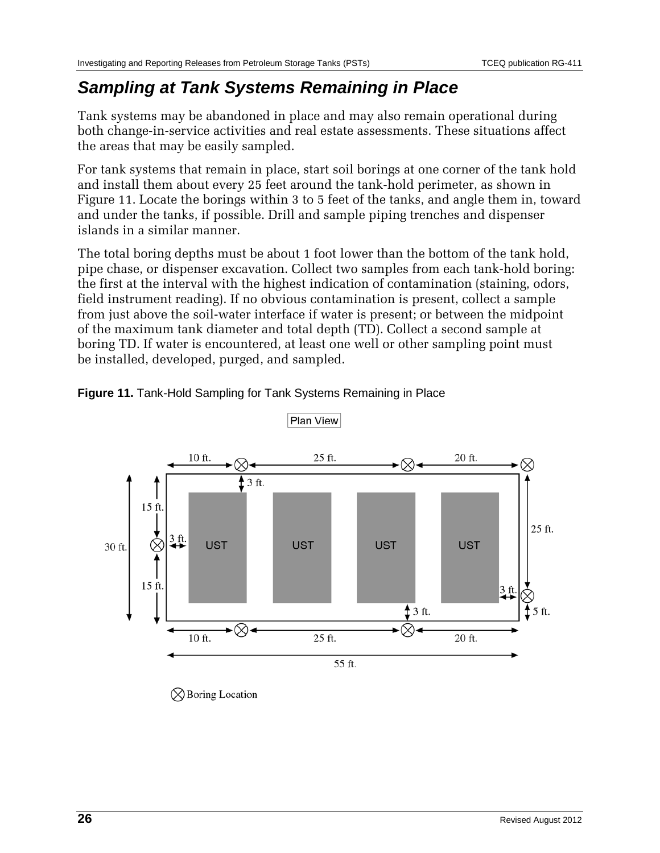## *Sampling at Tank Systems Remaining in Place*

Tank systems may be abandoned in place and may also remain operational during both change-in-service activities and real estate assessments. These situations affect the areas that may be easily sampled.

For tank systems that remain in place, start soil borings at one corner of the tank hold and install them about every 25 feet around the tank-hold perimeter, as shown in Figure 11. Locate the borings within 3 to 5 feet of the tanks, and angle them in, toward and under the tanks, if possible. Drill and sample piping trenches and dispenser islands in a similar manner.

The total boring depths must be about 1 foot lower than the bottom of the tank hold, pipe chase, or dispenser excavation. Collect two samples from each tank-hold boring: the first at the interval with the highest indication of contamination (staining, odors, field instrument reading). If no obvious contamination is present, collect a sample from just above the soil-water interface if water is present; or between the midpoint of the maximum tank diameter and total depth (TD). Collect a second sample at boring TD. If water is encountered, at least one well or other sampling point must be installed, developed, purged, and sampled.



<span id="page-25-0"></span>**Figure 11.** Tank-Hold Sampling for Tank Systems Remaining in Place

 $\oslash$  Boring Location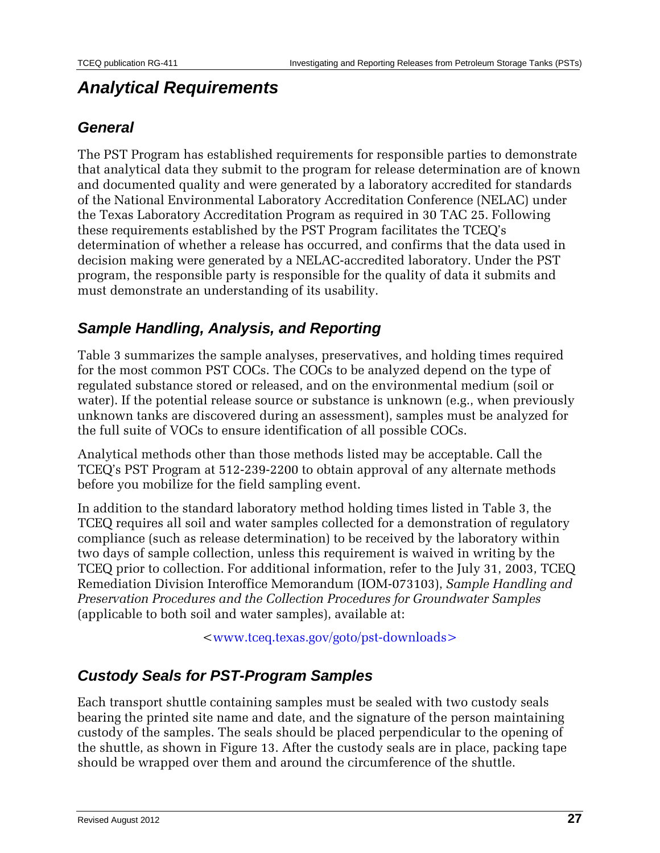## *Analytical Requirements*

### *General*

The PST Program has established requirements for responsible parties to demonstrate that analytical data they submit to the program for release determination are of known and documented quality and were generated by a laboratory accredited for standards of the National Environmental Laboratory Accreditation Conference (NELAC) under the Texas Laboratory Accreditation Program as required in 30 TAC 25. Following these requirements established by the PST Program facilitates the TCEQ's determination of whether a release has occurred, and confirms that the data used in decision making were generated by a NELAC-accredited laboratory. Under the PST program, the responsible party is responsible for the quality of data it submits and must demonstrate an understanding of its usability.

### *Sample Handling, Analysis, and Reporting*

Table 3 summarizes the sample analyses, preservatives, and holding times required for the most common PST COCs. The COCs to be analyzed depend on the type of regulated substance stored or released, and on the environmental medium (soil or water). If the potential release source or substance is unknown (e.g., when previously unknown tanks are discovered during an assessment), samples must be analyzed for the full suite of VOCs to ensure identification of all possible COCs.

Analytical methods other than those methods listed may be acceptable. Call the TCEQ's PST Program at 512-239-2200 to obtain approval of any alternate methods before you mobilize for the field sampling event.

In addition to the standard laboratory method holding times listed in Table 3, the TCEQ requires all soil and water samples collected for a demonstration of regulatory compliance (such as release determination) to be received by the laboratory within two days of sample collection, unless this requirement is waived in writing by the TCEQ prior to collection. For additional information, refer to the July 31, 2003, TCEQ Remediation Division Interoffice Memorandum (IOM-073103), *Sample Handling and Preservation Procedures and the Collection Procedures for Groundwater Samples* (applicable to both soil and water samples), available at:

[<www.tceq.texas.gov/goto/pst-downloads>](http://www.tceq.state.tx.us/goto/pst-downloads)

### *Custody Seals for PST-Program Samples*

Each transport shuttle containing samples must be sealed with two custody seals bearing the printed site name and date, and the signature of the person maintaining custody of the samples. The seals should be placed perpendicular to the opening of the shuttle, as shown in Figure 13. After the custody seals are in place, packing tape should be wrapped over them and around the circumference of the shuttle.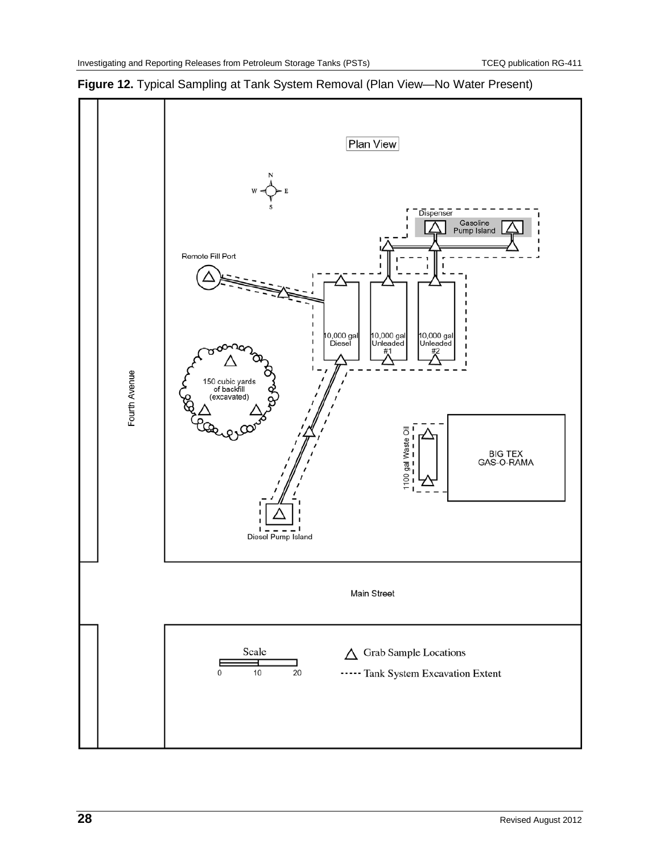

<span id="page-27-0"></span>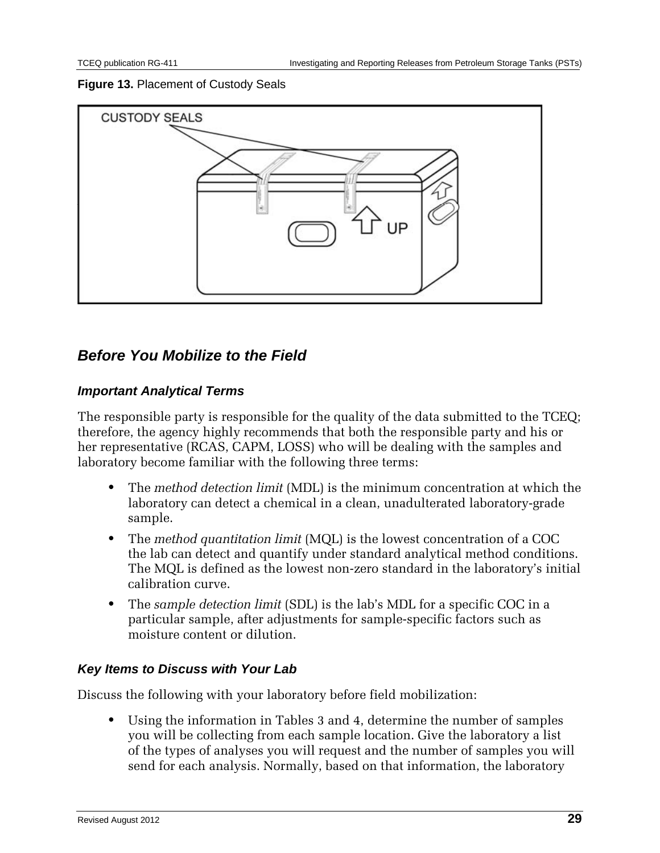### <span id="page-28-0"></span>**Figure 13.** Placement of Custody Seals



### *Before You Mobilize to the Field*

### *Important Analytical Terms*

The responsible party is responsible for the quality of the data submitted to the TCEQ; therefore, the agency highly recommends that both the responsible party and his or her representative (RCAS, CAPM, LOSS) who will be dealing with the samples and laboratory become familiar with the following three terms:

- **•** The *method detection limit* (MDL) is the minimum concentration at which the laboratory can detect a chemical in a clean, unadulterated laboratory-grade sample.
- **•** The *method quantitation limit* (MQL) is the lowest concentration of a COC the lab can detect and quantify under standard analytical method conditions. The MQL is defined as the lowest non-zero standard in the laboratory's initial calibration curve.
- **•** The *sample detection limit* (SDL) is the lab's MDL for a specific COC in a particular sample, after adjustments for sample-specific factors such as moisture content or dilution.

### *Key Items to Discuss with Your Lab*

Discuss the following with your laboratory before field mobilization:

**•** Using the information in Tables 3 and 4, determine the number of samples you will be collecting from each sample location. Give the laboratory a list of the types of analyses you will request and the number of samples you will send for each analysis. Normally, based on that information, the laboratory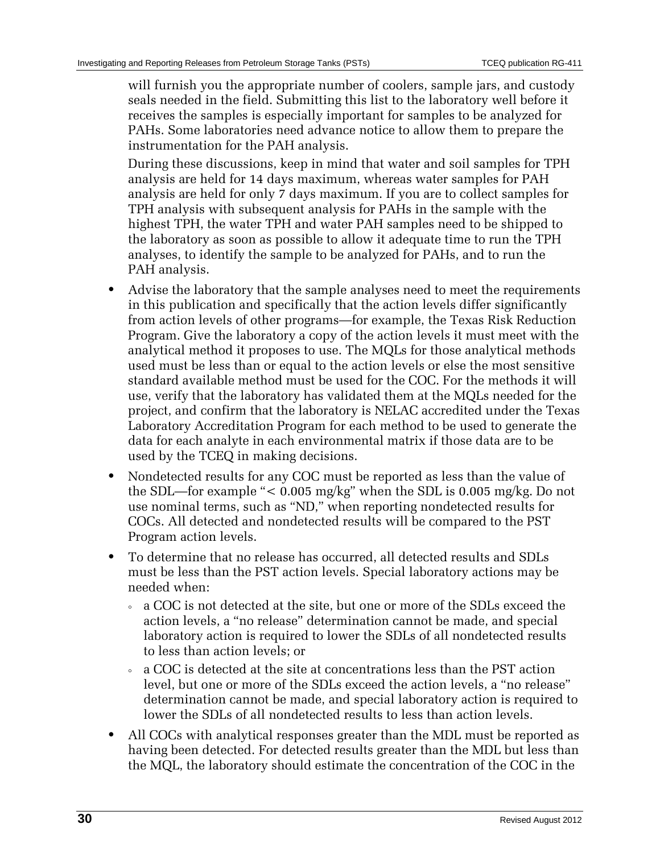will furnish you the appropriate number of coolers, sample jars, and custody seals needed in the field. Submitting this list to the laboratory well before it receives the samples is especially important for samples to be analyzed for PAHs. Some laboratories need advance notice to allow them to prepare the instrumentation for the PAH analysis.

During these discussions, keep in mind that water and soil samples for TPH analysis are held for 14 days maximum, whereas water samples for PAH analysis are held for only 7 days maximum. If you are to collect samples for TPH analysis with subsequent analysis for PAHs in the sample with the highest TPH, the water TPH and water PAH samples need to be shipped to the laboratory as soon as possible to allow it adequate time to run the TPH analyses, to identify the sample to be analyzed for PAHs, and to run the PAH analysis.

- **•** Advise the laboratory that the sample analyses need to meet the requirements in this publication and specifically that the action levels differ significantly from action levels of other programs—for example, the Texas Risk Reduction Program. Give the laboratory a copy of the action levels it must meet with the analytical method it proposes to use. The MQLs for those analytical methods used must be less than or equal to the action levels or else the most sensitive standard available method must be used for the COC. For the methods it will use, verify that the laboratory has validated them at the MQLs needed for the project, and confirm that the laboratory is NELAC accredited under the Texas Laboratory Accreditation Program for each method to be used to generate the data for each analyte in each environmental matrix if those data are to be used by the TCEQ in making decisions.
- **•** Nondetected results for any COC must be reported as less than the value of the SDL—for example "< 0.005 mg/kg" when the SDL is 0.005 mg/kg. Do not use nominal terms, such as "ND," when reporting nondetected results for COCs. All detected and nondetected results will be compared to the PST Program action levels.
- **•** To determine that no release has occurred, all detected results and SDLs must be less than the PST action levels. Special laboratory actions may be needed when:
	- a COC is not detected at the site, but one or more of the SDLs exceed the action levels, a "no release" determination cannot be made, and special laboratory action is required to lower the SDLs of all nondetected results to less than action levels; or
	- a COC is detected at the site at concentrations less than the PST action level, but one or more of the SDLs exceed the action levels, a "no release" determination cannot be made, and special laboratory action is required to lower the SDLs of all nondetected results to less than action levels.
- **•** All COCs with analytical responses greater than the MDL must be reported as having been detected. For detected results greater than the MDL but less than the MQL, the laboratory should estimate the concentration of the COC in the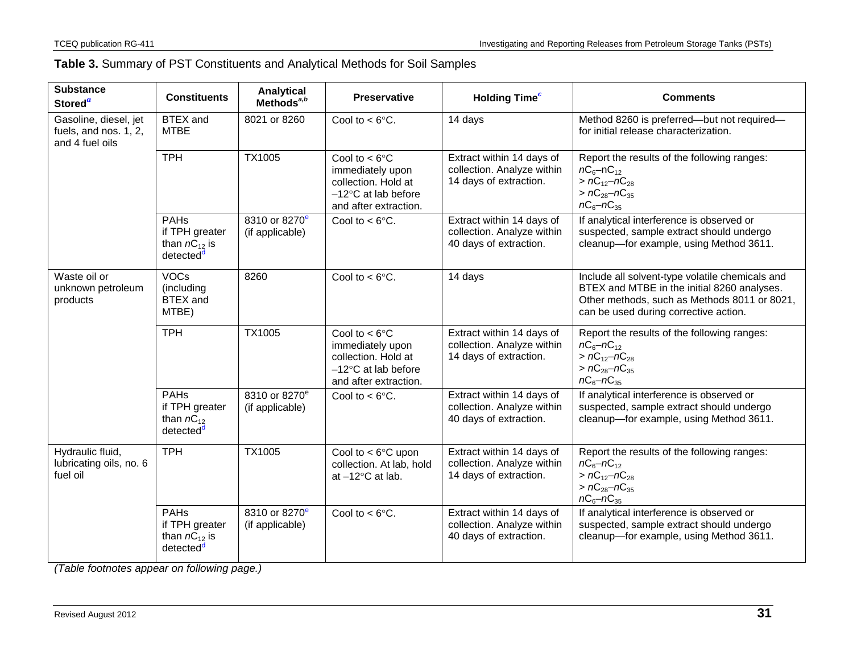<span id="page-30-0"></span>

| <b>Substance</b><br>Stored <sup>a</sup>                           | <b>Constituents</b>                                                         | Analytical<br>Methods $a,b$                  | <b>Preservative</b>                                                                                                   | <b>Holding Time</b> <sup>c</sup>                                                  | <b>Comments</b>                                                                                                                                                                         |
|-------------------------------------------------------------------|-----------------------------------------------------------------------------|----------------------------------------------|-----------------------------------------------------------------------------------------------------------------------|-----------------------------------------------------------------------------------|-----------------------------------------------------------------------------------------------------------------------------------------------------------------------------------------|
| Gasoline, diesel, jet<br>fuels, and nos. 1, 2,<br>and 4 fuel oils | <b>BTEX</b> and<br><b>MTBE</b>                                              | 8021 or 8260                                 | Cool to $<$ 6 $\degree$ C.                                                                                            | 14 days                                                                           | Method 8260 is preferred-but not required-<br>for initial release characterization.                                                                                                     |
|                                                                   | <b>TPH</b>                                                                  | TX1005                                       | Cool to $< 6^{\circ}$ C<br>immediately upon<br>collection. Hold at<br>$-12$ °C at lab before<br>and after extraction. | Extract within 14 days of<br>collection. Analyze within<br>14 days of extraction. | Report the results of the following ranges:<br>$nC_6$ –n $C_{12}$<br>$> nC_{12}-nC_{28}$<br>$> nC_{28}-nC_{35}$<br>$nC_6 - nC_{35}$                                                     |
|                                                                   | <b>PAHs</b><br>if TPH greater<br>than $nC_{12}$ is<br>detected <sup>d</sup> | 8310 or 8270 <sup>e</sup><br>(if applicable) | Cool to $<$ 6 $\degree$ C.                                                                                            | Extract within 14 days of<br>collection. Analyze within<br>40 days of extraction. | If analytical interference is observed or<br>suspected, sample extract should undergo<br>cleanup-for example, using Method 3611.                                                        |
| Waste oil or<br>unknown petroleum<br>products                     | <b>VOCs</b><br>(including<br><b>BTEX</b> and<br>MTBE)                       | 8260                                         | Cool to $<$ 6 $\degree$ C.                                                                                            | 14 days                                                                           | Include all solvent-type volatile chemicals and<br>BTEX and MTBE in the initial 8260 analyses.<br>Other methods, such as Methods 8011 or 8021,<br>can be used during corrective action. |
|                                                                   | <b>TPH</b>                                                                  | TX1005                                       | Cool to $< 6^{\circ}$ C<br>immediately upon<br>collection. Hold at<br>$-12$ °C at lab before<br>and after extraction. | Extract within 14 days of<br>collection. Analyze within<br>14 days of extraction. | Report the results of the following ranges:<br>$nC_6 - nC_{12}$<br>$> nC_{12}-nC_{28}$<br>$> nC_{28}-nC_{35}$<br>$nC_6 - nC_{35}$                                                       |
|                                                                   | <b>PAHs</b><br>if TPH greater<br>than $nC_{12}$<br>detected <sup>d</sup>    | 8310 or 8270 <sup>e</sup><br>(if applicable) | Cool to $< 6^{\circ}$ C.                                                                                              | Extract within 14 days of<br>collection. Analyze within<br>40 days of extraction. | If analytical interference is observed or<br>suspected, sample extract should undergo<br>cleanup-for example, using Method 3611.                                                        |
| Hydraulic fluid,<br>lubricating oils, no. 6<br>fuel oil           | <b>TPH</b>                                                                  | TX1005                                       | Cool to $<$ 6 $\degree$ C upon<br>collection. At lab, hold<br>at $-12^{\circ}$ C at lab.                              | Extract within 14 days of<br>collection. Analyze within<br>14 days of extraction. | Report the results of the following ranges:<br>$nC_6 - nC_{12}$<br>$> nC_{12}-nC_{28}$<br>$> nC_{28}-nC_{35}$<br>$nC_6 - nC_{35}$                                                       |
|                                                                   | <b>PAHs</b><br>if TPH greater<br>than $nC_{12}$ is<br>detected <sup>d</sup> | 8310 or 8270 <sup>e</sup><br>(if applicable) | Cool to $< 6^{\circ}$ C.                                                                                              | Extract within 14 days of<br>collection. Analyze within<br>40 days of extraction. | If analytical interference is observed or<br>suspected, sample extract should undergo<br>cleanup-for example, using Method 3611.                                                        |

*(Table footnotes appear on following page.)*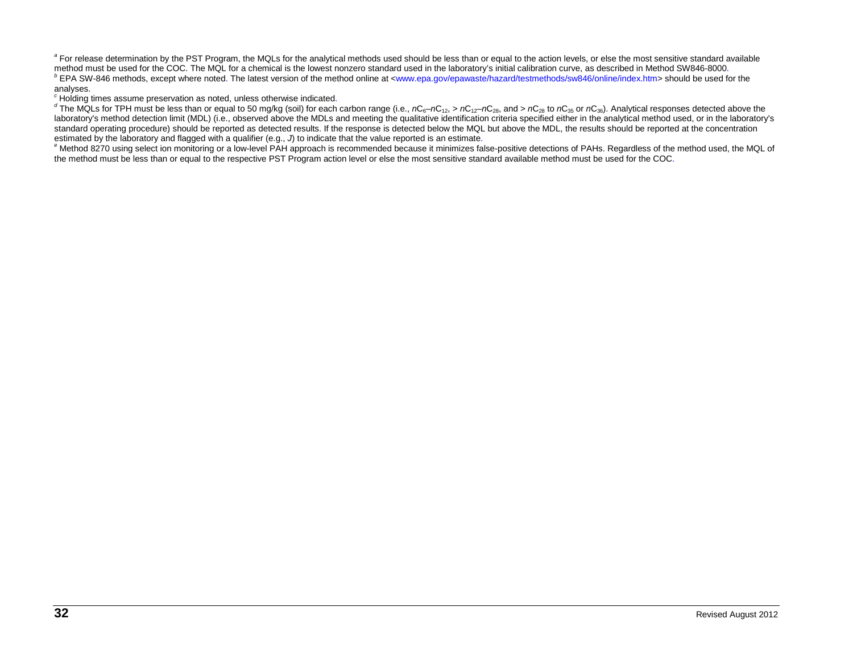<sup>a</sup> For release determination by the PST Program, the MQLs for the analytical methods used should be less than or equal to the action levels, or else the most sensitive standard available method must be used for the COC. The MQL for a chemical is the lowest nonzero standard used in the laboratory's initial calibration curve, as described in Method SW846-8000.<br> **PEPA SW-846 methods, except where noted.** The analyses.<br>
<sup>c</sup> Holding times assume preservation as noted, unless otherwise indicated.

<span id="page-31-1"></span><span id="page-31-0"></span><sup>1</sup> The MQLs for TPH must be less than or equal to 50 mg/kg (soil) for each carbon range (i.e.,  $nC_6 - nC_{12}$ ,  $\ge nC_{12} - nC_{28}$ , and  $\ge nC_{28}$  to  $nC_{35}$  or  $nC_{36}$ ). Analytical responses detected above the laboratory's method detection limit (MDL) (i.e., observed above the MDLs and meeting the qualitative identification criteria specified either in the analytical method used, or in the laboratory's standard operating procedure) should be reported as detected results. If the response is detected below the MQL but above the MDL, the results should be reported at the concentration estimated by the laboratory and flagged

<span id="page-31-2"></span><sup>e</sup> Method 8270 using select ion monitoring or a low-level PAH approach is recommended because it minimizes false-positive detections of PAHs. Regardless of the method used, the MQL of the method must be less than or equal to the respective PST Program action level or else the most sensitive standard available method must be used for the COC.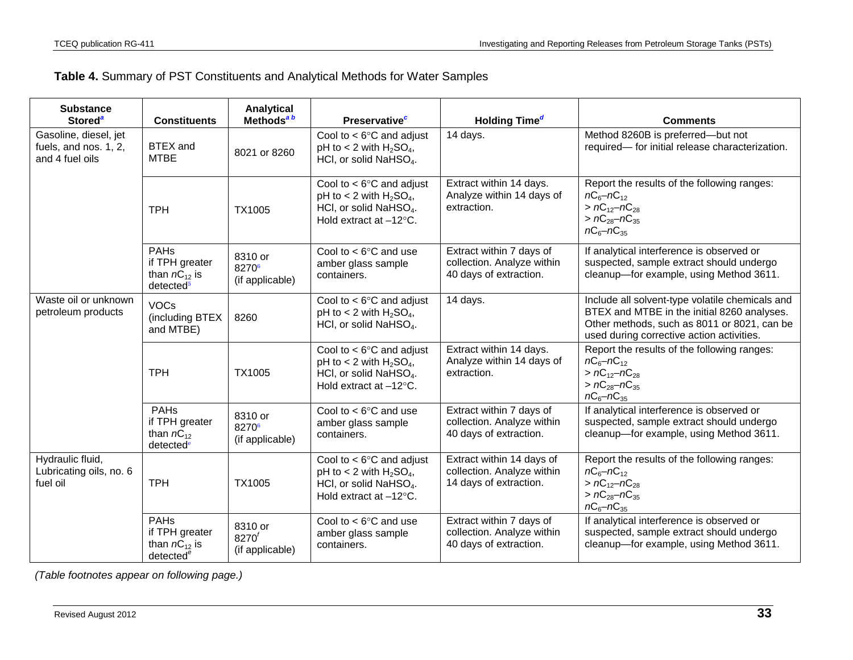<span id="page-32-4"></span><span id="page-32-3"></span><span id="page-32-2"></span><span id="page-32-1"></span>

|  |  | <b>Table 4.</b> Summary of PST Constituents and Analytical Methods for Water Samples |
|--|--|--------------------------------------------------------------------------------------|
|--|--|--------------------------------------------------------------------------------------|

<span id="page-32-6"></span><span id="page-32-5"></span><span id="page-32-0"></span>

| <b>Substance</b><br><b>Stored<sup>a</sup></b>                     | <b>Constituents</b>                                                         | Analytical<br>Methods <sup>ab</sup>             | <b>Preservative</b> <sup>c</sup>                                                                                                             | Holding Time <sup>d</sup>                                                         | <b>Comments</b>                                                                                                                                                                            |
|-------------------------------------------------------------------|-----------------------------------------------------------------------------|-------------------------------------------------|----------------------------------------------------------------------------------------------------------------------------------------------|-----------------------------------------------------------------------------------|--------------------------------------------------------------------------------------------------------------------------------------------------------------------------------------------|
| Gasoline, diesel, jet<br>fuels, and nos. 1, 2,<br>and 4 fuel oils | <b>BTEX</b> and<br><b>MTBE</b>                                              | 8021 or 8260                                    | Cool to $<$ 6 $\degree$ C and adjust<br>pH to < 2 with $H_2SO_4$ ,<br>HCl, or solid NaHSO <sub>4</sub> .                                     | 14 days.                                                                          | Method 8260B is preferred-but not<br>required-for initial release characterization.                                                                                                        |
|                                                                   | <b>TPH</b>                                                                  | TX1005                                          | Cool to $<$ 6 $\degree$ C and adjust<br>pH to < 2 with $H_2SO_4$ ,<br>HCl, or solid NaHSO <sub>4</sub> .<br>Hold extract at -12°C.           | Extract within 14 days.<br>Analyze within 14 days of<br>extraction.               | Report the results of the following ranges:<br>$nC_6 - nC_{12}$<br>$> nC_{12}-nC_{28}$<br>$> nC_{28} - nC_{35}$<br>$nC_6 - nC_{35}$                                                        |
|                                                                   | <b>PAHs</b><br>if TPH greater<br>than $nC_{12}$ is<br>detected <sup>5</sup> | 8310 or<br>82706<br>(if applicable)             | Cool to $<$ 6 $\degree$ C and use<br>amber glass sample<br>containers.                                                                       | Extract within 7 days of<br>collection. Analyze within<br>40 days of extraction.  | If analytical interference is observed or<br>suspected, sample extract should undergo<br>cleanup-for example, using Method 3611.                                                           |
| Waste oil or unknown<br>petroleum products                        | <b>VOCs</b><br>(including BTEX<br>and MTBE)                                 | 8260                                            | Cool to $<$ 6 $\degree$ C and adjust<br>pH to < 2 with $H_2SO_4$ ,<br>HCl, or solid NaHSO <sub>4</sub> .                                     | 14 days.                                                                          | Include all solvent-type volatile chemicals and<br>BTEX and MTBE in the initial 8260 analyses.<br>Other methods, such as 8011 or 8021, can be<br>used during corrective action activities. |
|                                                                   | <b>TPH</b>                                                                  | TX1005                                          | Cool to $<$ 6 $\degree$ C and adjust<br>pH to < 2 with $H_2SO_4$ ,<br>HCl, or solid NaHSO <sub>4</sub> .<br>Hold extract at $-12^{\circ}$ C. | Extract within 14 days.<br>Analyze within 14 days of<br>extraction.               | Report the results of the following ranges:<br>$nC_6 - nC_{12}$<br>$> nC_{12}-nC_{28}$<br>$> nC_{28}-nC_{35}$<br>$nC_6 - nC_{35}$                                                          |
|                                                                   | <b>PAHs</b><br>if TPH greater<br>than $nC_{12}$<br>detected <sup>e</sup>    | 8310 or<br>82706<br>(if applicable)             | Cool to $<$ 6 $\degree$ C and use<br>amber glass sample<br>containers.                                                                       | Extract within 7 days of<br>collection. Analyze within<br>40 days of extraction.  | If analytical interference is observed or<br>suspected, sample extract should undergo<br>cleanup-for example, using Method 3611.                                                           |
| Hydraulic fluid,<br>Lubricating oils, no. 6<br>fuel oil           | <b>TPH</b>                                                                  | TX1005                                          | Cool to $<$ 6 $\degree$ C and adjust<br>pH to < 2 with $H_2SO_4$ ,<br>HCI, or solid NaHSO <sub>4</sub> .<br>Hold extract at $-12^{\circ}$ C. | Extract within 14 days of<br>collection. Analyze within<br>14 days of extraction. | Report the results of the following ranges:<br>$nC_6 - nC_{12}$<br>$> nC_{12}-nC_{28}$<br>$> nC_{28}-nC_{35}$<br>$nC_6 - nC_{35}$                                                          |
|                                                                   | PAHS<br>if TPH greater<br>than $nC_{12}$ is<br>detected <sup>e</sup>        | 8310 or<br>8270 <sup>f</sup><br>(if applicable) | Cool to $<$ 6 $\degree$ C and use<br>amber glass sample<br>containers.                                                                       | Extract within 7 days of<br>collection. Analyze within<br>40 days of extraction.  | If analytical interference is observed or<br>suspected, sample extract should undergo<br>cleanup-for example, using Method 3611.                                                           |

*(Table footnotes appear on following page.)*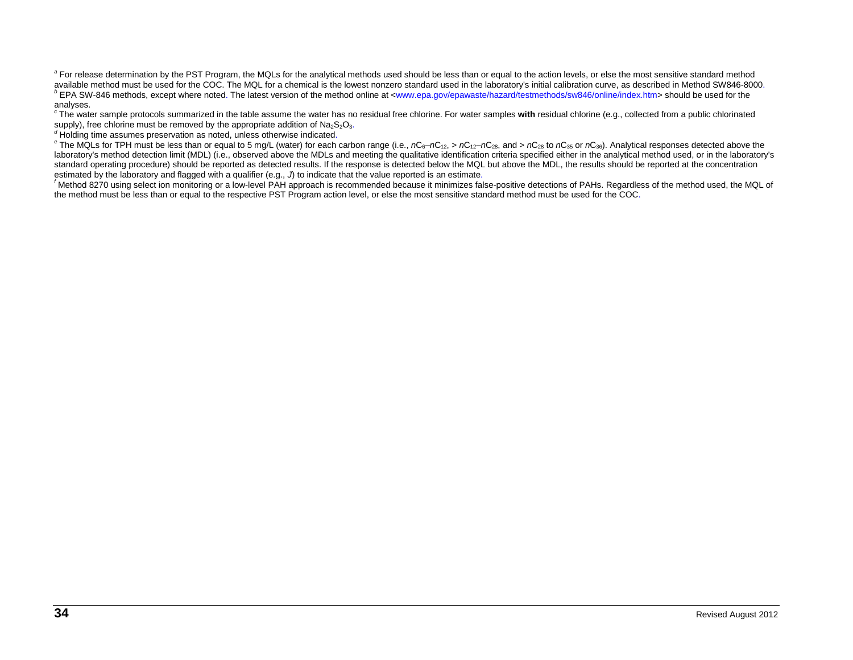<span id="page-33-0"></span><sup>a</sup> For release determination by the PST Program, the MQLs for the analytical methods used should be less than or equal to the action levels, or else the most sensitive standard method<br>available method must be used for the <sup>b</sup> EPA SW-846 methods, except where noted[.](#page-32-1) The latest version of the metho[d](#page-32-2) online at [<www.epa.gov/epawaste/hazard/testmethods/sw846/online/index.htm>](http://www.epa.gov/epawaste/hazard/testmethods/sw846/online/index.htm) should be used for the analyses.

<sup>c</sup> The water sample protocols summarized in the table assume the water has no residual free chlorine. For water samples with residual chlorine (e.g., collected from a public chlorinated supply), free chlorine must be remo

<span id="page-33-1"></span>

 $\sigma$  Holding time assumes preservation as noted, unless otherwise indicated[.](#page-32-3)<br>
<sup>e</sup> The MQLs for TPH must be less than or equal to 5 mg/L (water) for each carbon range (i.e.,  $nC_{6}-nC_{12}$ , >  $nC_{12}-nC_{28}$ , an[d](#page-32-4) >  $nC_{28}$  laboratory's method detection limit (MDL) (i.e., observed above the MDLs and meeting the qualitative identification criteria specified either in the analytical method used, or in the laboratory's standard operating procedure) should be reported as detected results. If the response is detected below the MQL but above the MDL, the results should be reported at the concentration [e](#page-32-5)stimated by the laboratory and flagged with a qualifier (e.g.,  $J$ ) to indicate that the value reported is an estimate.

<span id="page-33-2"></span> $^f$ Method 8270 using select ion monitoring or a low-level PAH approach is recommended because it minimizes false-positive detections of PAHs. Regardless of the method used, the MQL of the method must be less than or equal to the respective PST Program action level, or else the most sensitive standard method must be used for the CO[C](#page-32-6).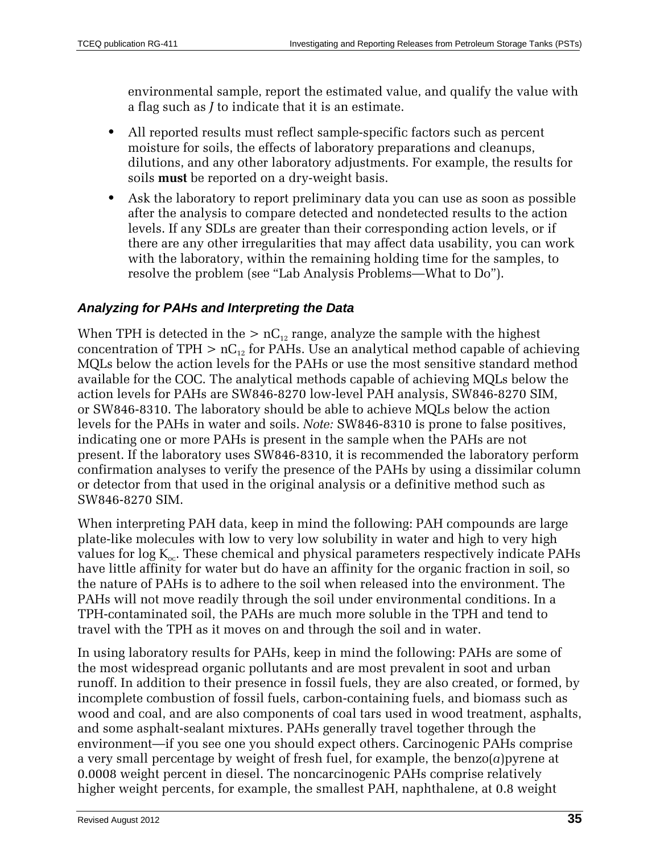environmental sample, report the estimated value, and qualify the value with a flag such as *J* to indicate that it is an estimate.

- **•** All reported results must reflect sample-specific factors such as percent moisture for soils, the effects of laboratory preparations and cleanups, dilutions, and any other laboratory adjustments. For example, the results for soils **must** be reported on a dry-weight basis.
- **•** Ask the laboratory to report preliminary data you can use as soon as possible after the analysis to compare detected and nondetected results to the action levels. If any SDLs are greater than their corresponding action levels, or if there are any other irregularities that may affect data usability, you can work with the laboratory, within the remaining holding time for the samples, to resolve the problem (see "Lab Analysis Problems—What to Do").

### *Analyzing for PAHs and Interpreting the Data*

When TPH is detected in the  $> nC_{12}$  range, analyze the sample with the highest concentration of TPH  $> nC_{12}$  for PAHs. Use an analytical method capable of achieving MQLs below the action levels for the PAHs or use the most sensitive standard method available for the COC. The analytical methods capable of achieving MQLs below the action levels for PAHs are SW846-8270 low-level PAH analysis, SW846-8270 SIM, or SW846-8310. The laboratory should be able to achieve MQLs below the action levels for the PAHs in water and soils. *Note:* SW846-8310 is prone to false positives, indicating one or more PAHs is present in the sample when the PAHs are not present. If the laboratory uses SW846-8310, it is recommended the laboratory perform confirmation analyses to verify the presence of the PAHs by using a dissimilar column or detector from that used in the original analysis or a definitive method such as SW846-8270 SIM.

When interpreting PAH data, keep in mind the following: PAH compounds are large plate-like molecules with low to very low solubility in water and high to very high values for  $log K_{oc}$ . These chemical and physical parameters respectively indicate PAHs have little affinity for water but do have an affinity for the organic fraction in soil, so the nature of PAHs is to adhere to the soil when released into the environment. The PAHs will not move readily through the soil under environmental conditions. In a TPH-contaminated soil, the PAHs are much more soluble in the TPH and tend to travel with the TPH as it moves on and through the soil and in water.

In using laboratory results for PAHs, keep in mind the following: PAHs are some of the most widespread organic pollutants and are most prevalent in soot and urban runoff. In addition to their presence in fossil fuels, they are also created, or formed, by incomplete combustion of fossil fuels, carbon-containing fuels, and biomass such as wood and coal, and are also components of coal tars used in wood treatment, asphalts, and some asphalt-sealant mixtures. PAHs generally travel together through the environment—if you see one you should expect others. Carcinogenic PAHs comprise a very small percentage by weight of fresh fuel, for example, the benzo(*a*)pyrene at 0.0008 weight percent in diesel. The noncarcinogenic PAHs comprise relatively higher weight percents, for example, the smallest PAH, naphthalene, at 0.8 weight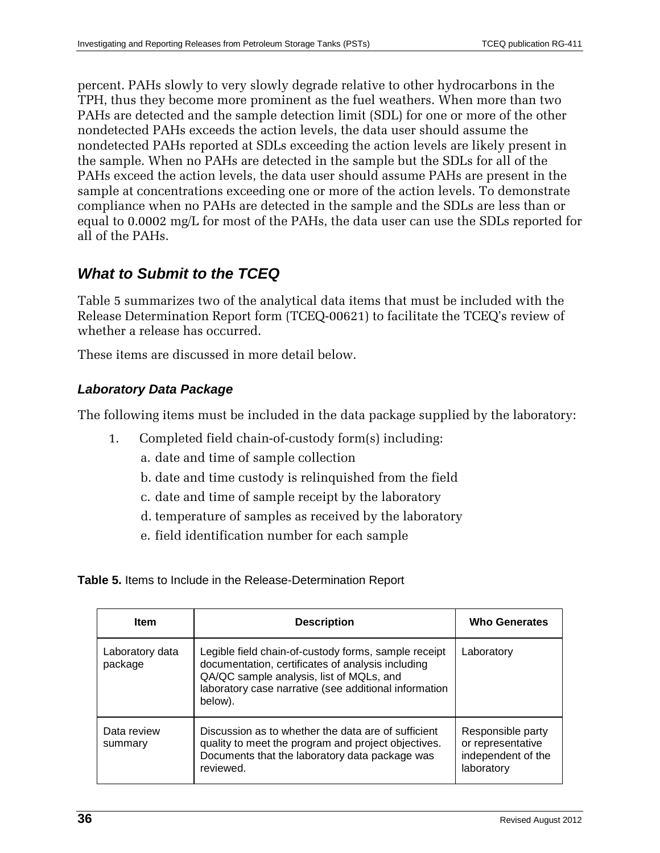percent. PAHs slowly to very slowly degrade relative to other hydrocarbons in the TPH, thus they become more prominent as the fuel weathers. When more than two PAHs are detected and the sample detection limit (SDL) for one or more of the other nondetected PAHs exceeds the action levels, the data user should assume the nondetected PAHs reported at SDLs exceeding the action levels are likely present in the sample. When no PAHs are detected in the sample but the SDLs for all of the PAHs exceed the action levels, the data user should assume PAHs are present in the sample at concentrations exceeding one or more of the action levels. To demonstrate compliance when no PAHs are detected in the sample and the SDLs are less than or equal to 0.0002 mg/L for most of the PAHs, the data user can use the SDLs reported for all of the PAHs.

### *What to Submit to the TCEQ*

Table 5 summarizes two of the analytical data items that must be included with the Release Determination Report form (TCEQ-00621) to facilitate the TCEQ's review of whether a release has occurred.

These items are discussed in more detail below.

### *Laboratory Data Package*

The following items must be included in the data package supplied by the laboratory:

- 1. Completed field chain-of-custody form(s) including:
	- a. date and time of sample collection
	- b. date and time custody is relinquished from the field
	- c. date and time of sample receipt by the laboratory
	- d. temperature of samples as received by the laboratory
	- e. field identification number for each sample

<span id="page-35-0"></span>**Table 5.** Items to Include in the Release-Determination Report

| <b>Item</b>                | <b>Description</b>                                                                                                                                                                                                        | <b>Who Generates</b>                                                       |
|----------------------------|---------------------------------------------------------------------------------------------------------------------------------------------------------------------------------------------------------------------------|----------------------------------------------------------------------------|
| Laboratory data<br>package | Legible field chain-of-custody forms, sample receipt<br>documentation, certificates of analysis including<br>QA/QC sample analysis, list of MQLs, and<br>laboratory case narrative (see additional information<br>below). | Laboratory                                                                 |
| Data review<br>summary     | Discussion as to whether the data are of sufficient<br>quality to meet the program and project objectives.<br>Documents that the laboratory data package was<br>reviewed.                                                 | Responsible party<br>or representative<br>independent of the<br>laboratory |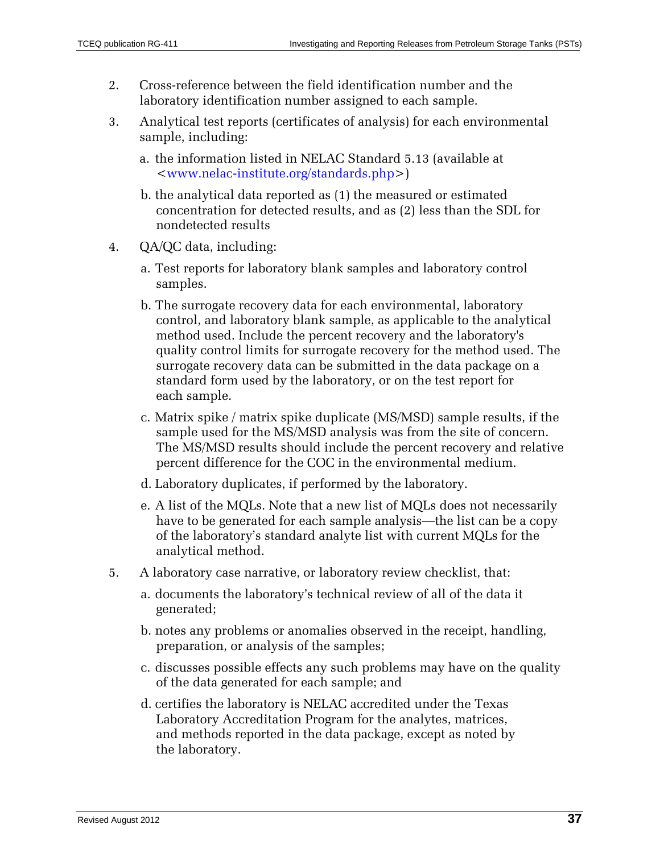- 2. Cross-reference between the field identification number and the laboratory identification number assigned to each sample.
- 3. Analytical test reports (certificates of analysis) for each environmental sample, including:
	- a. the information listed in NELAC Standard 5.13 (available at [<www.nelac-institute.org/standards.php>](http://www.nelac-institute.org/standards.php))
	- b. the analytical data reported as (1) the measured or estimated concentration for detected results, and as (2) less than the SDL for nondetected results
- 4. QA/QC data, including:
	- a. Test reports for laboratory blank samples and laboratory control samples.
	- b. The surrogate recovery data for each environmental, laboratory control, and laboratory blank sample, as applicable to the analytical method used. Include the percent recovery and the laboratory's quality control limits for surrogate recovery for the method used. The surrogate recovery data can be submitted in the data package on a standard form used by the laboratory, or on the test report for each sample.
	- c. Matrix spike / matrix spike duplicate (MS/MSD) sample results, if the sample used for the MS/MSD analysis was from the site of concern. The MS/MSD results should include the percent recovery and relative percent difference for the COC in the environmental medium.
	- d. Laboratory duplicates, if performed by the laboratory.
	- e. A list of the MQLs. Note that a new list of MQLs does not necessarily have to be generated for each sample analysis—the list can be a copy of the laboratory's standard analyte list with current MQLs for the analytical method.
- 5. A laboratory case narrative, or laboratory review checklist, that:
	- a. documents the laboratory's technical review of all of the data it generated;
	- b. notes any problems or anomalies observed in the receipt, handling, preparation, or analysis of the samples;
	- c. discusses possible effects any such problems may have on the quality of the data generated for each sample; and
	- d. certifies the laboratory is NELAC accredited under the Texas Laboratory Accreditation Program for the analytes, matrices, and methods reported in the data package, except as noted by the laboratory.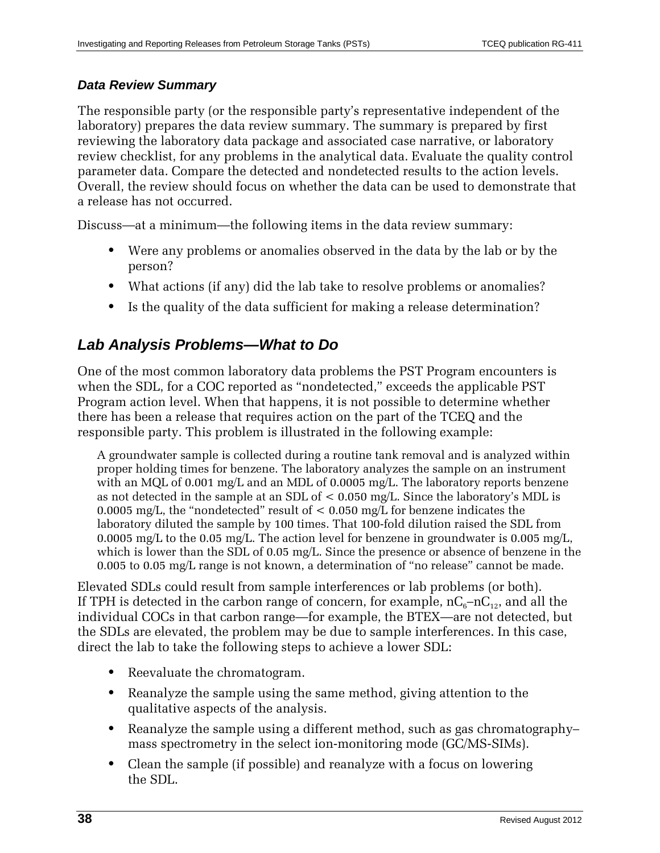### *Data Review Summary*

The responsible party (or the responsible party's representative independent of the laboratory) prepares the data review summary. The summary is prepared by first reviewing the laboratory data package and associated case narrative, or laboratory review checklist, for any problems in the analytical data. Evaluate the quality control parameter data. Compare the detected and nondetected results to the action levels. Overall, the review should focus on whether the data can be used to demonstrate that a release has not occurred.

Discuss—at a minimum—the following items in the data review summary:

- **•** Were any problems or anomalies observed in the data by the lab or by the person?
- **•** What actions (if any) did the lab take to resolve problems or anomalies?
- **•** Is the quality of the data sufficient for making a release determination?

### *Lab Analysis Problems—What to Do*

One of the most common laboratory data problems the PST Program encounters is when the SDL, for a COC reported as "nondetected," exceeds the applicable PST Program action level. When that happens, it is not possible to determine whether there has been a release that requires action on the part of the TCEQ and the responsible party. This problem is illustrated in the following example:

A groundwater sample is collected during a routine tank removal and is analyzed within proper holding times for benzene. The laboratory analyzes the sample on an instrument with an MQL of 0.001 mg/L and an MDL of 0.0005 mg/L. The laboratory reports benzene as not detected in the sample at an SDL of < 0.050 mg/L. Since the laboratory's MDL is 0.0005 mg/L, the "nondetected" result of  $\lt$  0.050 mg/L for benzene indicates the laboratory diluted the sample by 100 times. That 100-fold dilution raised the SDL from 0.0005 mg/L to the 0.05 mg/L. The action level for benzene in groundwater is 0.005 mg/L, which is lower than the SDL of 0.05 mg/L. Since the presence or absence of benzene in the 0.005 to 0.05 mg/L range is not known, a determination of "no release" cannot be made.

Elevated SDLs could result from sample interferences or lab problems (or both). If TPH is detected in the carbon range of concern, for example,  $nC_6$ – $nC_{12}$ , and all the individual COCs in that carbon range—for example, the BTEX—are not detected, but the SDLs are elevated, the problem may be due to sample interferences. In this case, direct the lab to take the following steps to achieve a lower SDL:

- **•** Reevaluate the chromatogram.
- **•** Reanalyze the sample using the same method, giving attention to the qualitative aspects of the analysis.
- **•** Reanalyze the sample using a different method, such as gas chromatography– mass spectrometry in the select ion-monitoring mode (GC/MS-SIMs).
- **•** Clean the sample (if possible) and reanalyze with a focus on lowering the SDL.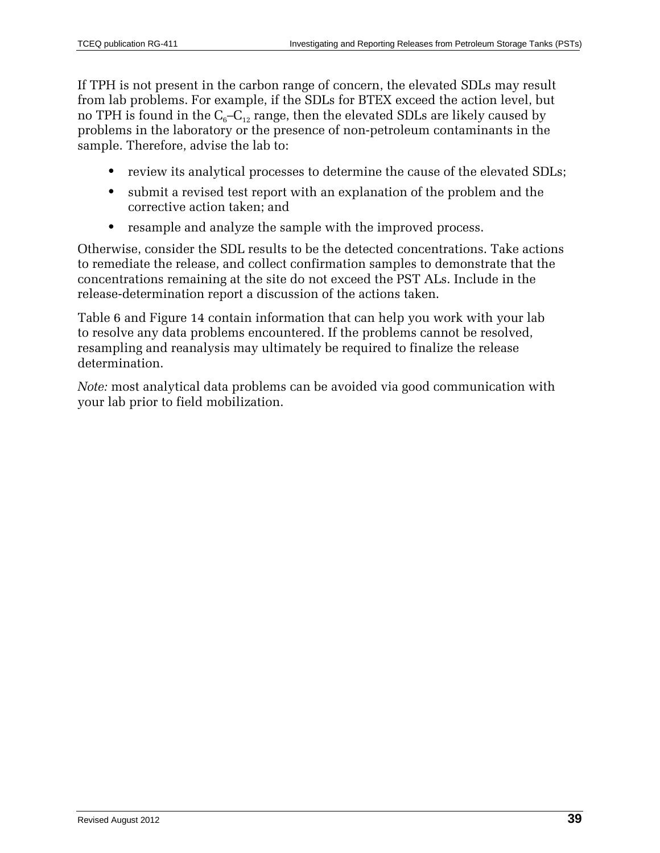If TPH is not present in the carbon range of concern, the elevated SDLs may result from lab problems. For example, if the SDLs for BTEX exceed the action level, but no TPH is found in the  $C_6-C_{12}$  range, then the elevated SDLs are likely caused by problems in the laboratory or the presence of non-petroleum contaminants in the sample. Therefore, advise the lab to:

- **•** review its analytical processes to determine the cause of the elevated SDLs;
- **•** submit a revised test report with an explanation of the problem and the corrective action taken; and
- **•** resample and analyze the sample with the improved process.

Otherwise, consider the SDL results to be the detected concentrations. Take actions to remediate the release, and collect confirmation samples to demonstrate that the concentrations remaining at the site do not exceed the PST ALs. Include in the release-determination report a discussion of the actions taken.

Table 6 and Figure 14 contain information that can help you work with your lab to resolve any data problems encountered. If the problems cannot be resolved, resampling and reanalysis may ultimately be required to finalize the release determination.

*Note:* most analytical data problems can be avoided via good communication with your lab prior to field mobilization.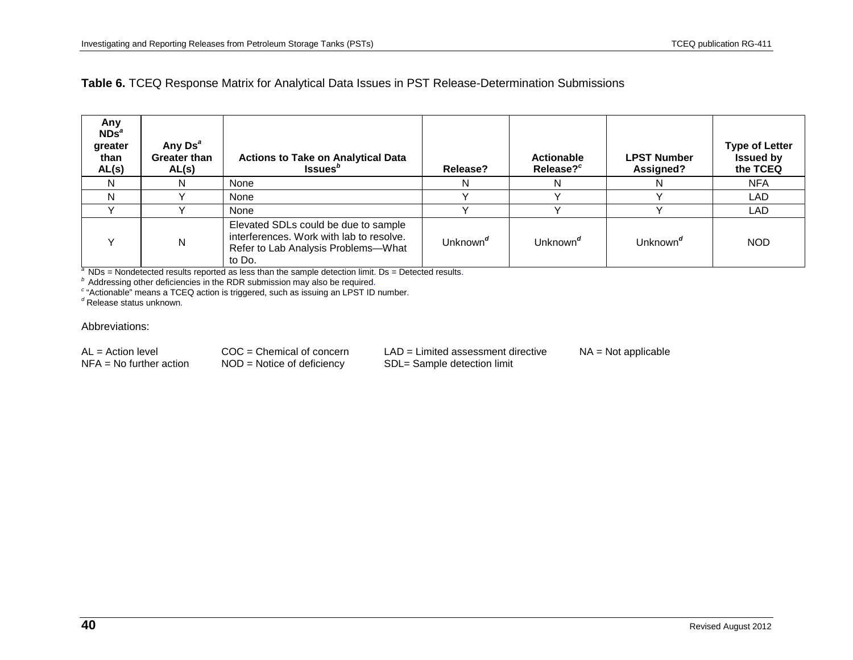### **Table 6.** TCEQ Response Matrix for Analytical Data Issues in PST Release-Determination Submissions

| Any<br>NDS <sup>a</sup><br>greater<br>than<br>AL(s) | Any Ds <sup>a</sup><br><b>Greater than</b><br>AL(s) | <b>Actions to Take on Analytical Data</b><br>Issues <sup>b</sup>                                                                  | Release?             | <b>Actionable</b><br>Release? <sup>c</sup> | <b>LPST Number</b><br>Assigned? | <b>Type of Letter</b><br><b>Issued by</b><br>the TCEQ |
|-----------------------------------------------------|-----------------------------------------------------|-----------------------------------------------------------------------------------------------------------------------------------|----------------------|--------------------------------------------|---------------------------------|-------------------------------------------------------|
|                                                     | N                                                   | None                                                                                                                              | N                    |                                            |                                 | <b>NFA</b>                                            |
|                                                     |                                                     | None                                                                                                                              |                      |                                            |                                 | LAD                                                   |
|                                                     |                                                     | None                                                                                                                              |                      |                                            |                                 | LAD                                                   |
|                                                     | N                                                   | Elevated SDLs could be due to sample<br>interferences. Work with lab to resolve.<br>Refer to Lab Analysis Problems-What<br>to Do. | Unknown <sup>d</sup> | Unknown <sup>d</sup>                       | Unknown <sup>d</sup>            | <b>NOD</b>                                            |

<span id="page-39-0"></span><sup>a</sup> NDs = Nondetected results reported as less than the sample detection limit. Ds = Detected results.<br>
<sup>b</sup> Addressing other deficiencies in the RDR submission may also be required.<br>
<sup>c</sup> "Actionable" means a TCEQ action i

#### Abbreviations:

| $AL = Action level$       | $COC =$ Chemical of concern  | $LAD = Limited assessment$ directive | $NA = Not applicable$ |
|---------------------------|------------------------------|--------------------------------------|-----------------------|
| $NFA = No$ further action | $NOD = Notice of deficiency$ | SDL= Sample detection limit          |                       |